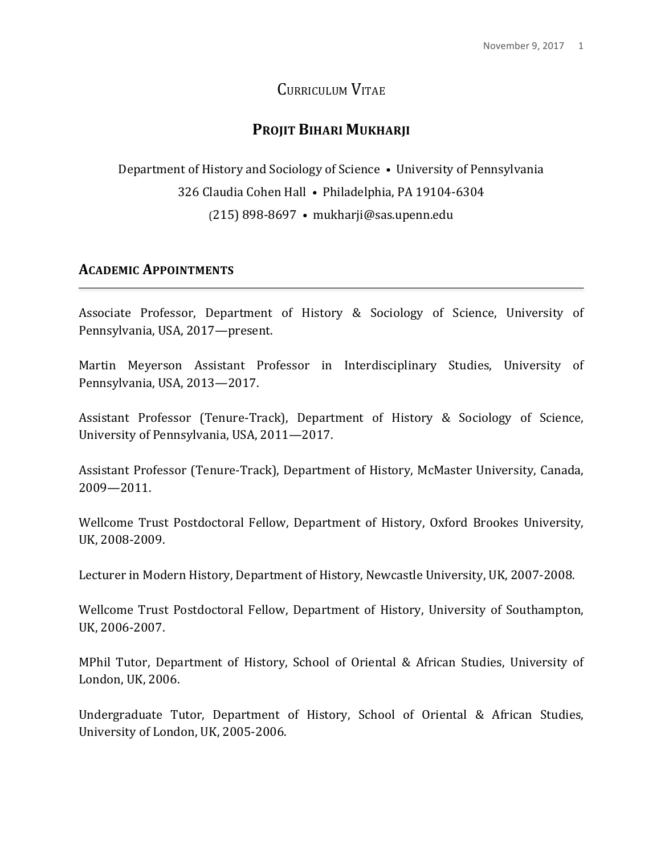# CURRICULUM VITAE

# **PROJIT BIHARI MUKHARJI**

Department of History and Sociology of Science • University of Pennsylvania 326 Claudia Cohen Hall · Philadelphia, PA 19104-6304 (215) 898-8697 **•** mukharji@sas.upenn.edu

### **ACADEMIC APPOINTMENTS**

Associate Professor, Department of History & Sociology of Science, University of Pennsylvania, USA, 2017—present.

Martin Meyerson Assistant Professor in Interdisciplinary Studies, University of Pennsylvania, USA, 2013-2017.

Assistant Professor (Tenure-Track), Department of History & Sociology of Science, University of Pennsylvania, USA, 2011-2017.

Assistant Professor (Tenure-Track), Department of History, McMaster University, Canada, 2009—2011.

Wellcome Trust Postdoctoral Fellow, Department of History, Oxford Brookes University, UK, 2008-2009.

Lecturer in Modern History, Department of History, Newcastle University, UK, 2007-2008.

Wellcome Trust Postdoctoral Fellow, Department of History, University of Southampton, UK, 2006-2007.

MPhil Tutor, Department of History, School of Oriental & African Studies, University of London, UK, 2006.

Undergraduate Tutor, Department of History, School of Oriental & African Studies, University of London, UK, 2005-2006.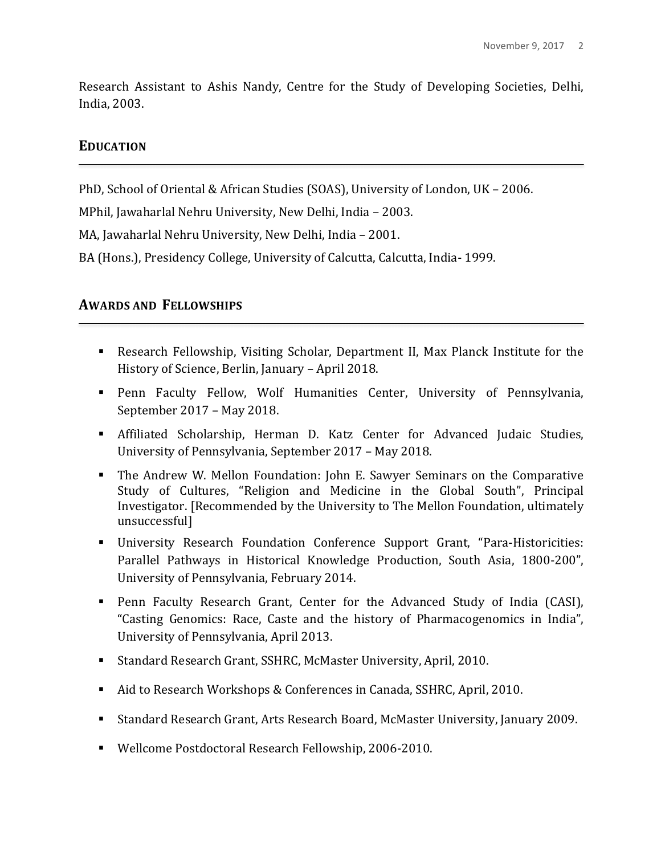Research Assistant to Ashis Nandy, Centre for the Study of Developing Societies, Delhi, India, 2003.

### **EDUCATION**

PhD, School of Oriental & African Studies (SOAS), University of London, UK - 2006.

MPhil, Jawaharlal Nehru University, New Delhi, India - 2003.

MA, Jawaharlal Nehru University, New Delhi, India – 2001.

BA (Hons.), Presidency College, University of Calcutta, Calcutta, India- 1999.

### **AWARDS AND FELLOWSHIPS**

- Research Fellowship, Visiting Scholar, Department II, Max Planck Institute for the History of Science, Berlin, January - April 2018.
- **Penn Faculty Fellow, Wolf Humanities Center, University of Pennsylvania,** September 2017 – May 2018.
- Affiliated Scholarship, Herman D. Katz Center for Advanced Judaic Studies, University of Pennsylvania, September 2017 - May 2018.
- **.** The Andrew W. Mellon Foundation: John E. Sawyer Seminars on the Comparative Study of Cultures, "Religion and Medicine in the Global South", Principal Investigator. [Recommended by the University to The Mellon Foundation, ultimately unsuccessful]
- **I.** University Research Foundation Conference Support Grant, "Para-Historicities: Parallel Pathways in Historical Knowledge Production, South Asia, 1800-200", University of Pennsylvania, February 2014.
- **.** Penn Faculty Research Grant, Center for the Advanced Study of India (CASI), "Casting Genomics: Race, Caste and the history of Pharmacogenomics in India", University of Pennsylvania, April 2013.
- Standard Research Grant, SSHRC, McMaster University, April, 2010.
- Aid to Research Workshops & Conferences in Canada, SSHRC, April, 2010.
- Standard Research Grant, Arts Research Board, McMaster University, January 2009.
- Wellcome Postdoctoral Research Fellowship, 2006-2010.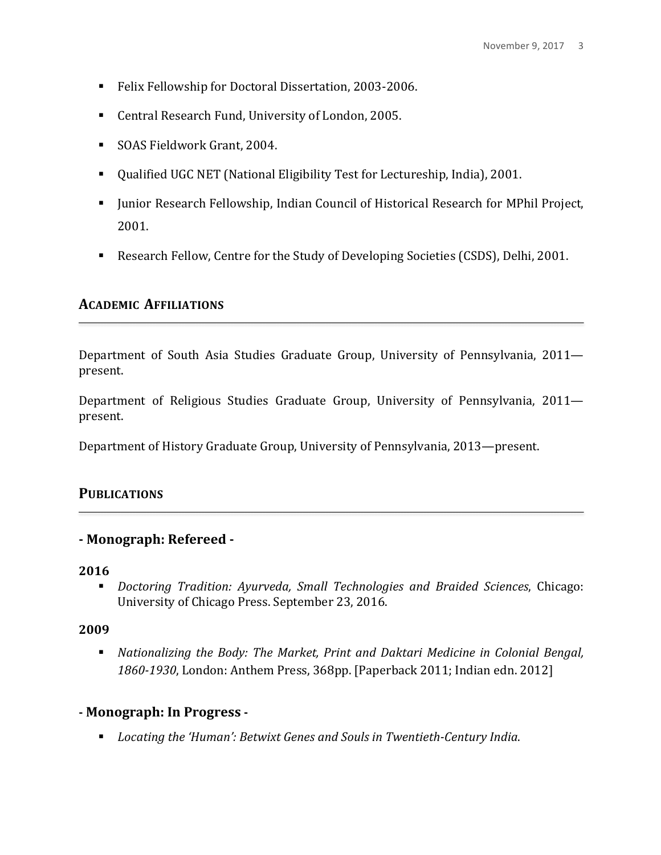- Felix Fellowship for Doctoral Dissertation, 2003-2006.
- Central Research Fund, University of London, 2005.
- SOAS Fieldwork Grant, 2004.
- Qualified UGC NET (National Eligibility Test for Lectureship, India), 2001.
- Junior Research Fellowship, Indian Council of Historical Research for MPhil Project, 2001.
- Research Fellow, Centre for the Study of Developing Societies (CSDS), Delhi, 2001.

## **ACADEMIC AFFILIATIONS**

Department of South Asia Studies Graduate Group, University of Pennsylvania, 2011 present. 

Department of Religious Studies Graduate Group, University of Pennsylvania, 2011 present.

Department of History Graduate Group, University of Pennsylvania, 2013—present.

## **PUBLICATIONS**

### **- Monograph: Refereed -**

#### **2016**

**.** Doctoring Tradition: Ayurveda, Small Technologies and Braided Sciences, Chicago: University of Chicago Press. September 23, 2016.

### **2009**

**.** Nationalizing the Body: The Market, Print and Daktari Medicine in Colonial Bengal, 1860-1930, London: Anthem Press, 368pp. [Paperback 2011; Indian edn. 2012]

## **- Monograph: In Progress -**

**EXECTE:** Locating the 'Human': Betwixt Genes and Souls in Twentieth-Century India.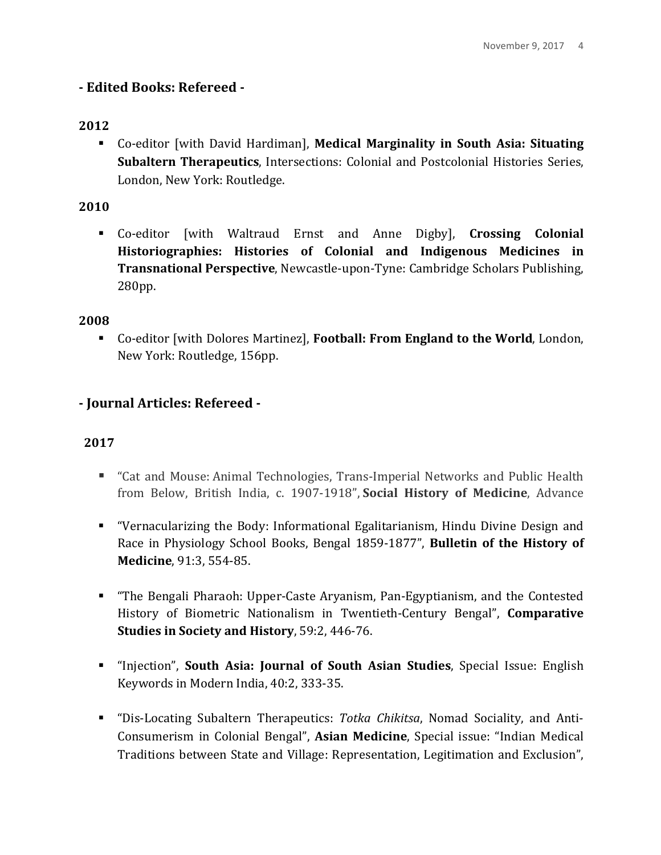## **- Edited Books: Refereed -**

## **2012**

**E** Co-editor [with David Hardiman], **Medical Marginality in South Asia: Situating Subaltern Therapeutics**, Intersections: Colonial and Postcolonial Histories Series, London, New York: Routledge.

### **2010**

**E** Co-editor [with Waltraud Ernst and Anne Digby], **Crossing Colonial** Historiographies: Histories of Colonial and Indigenous Medicines in **Transnational Perspective**, Newcastle-upon-Tyne: Cambridge Scholars Publishing, 280pp. 

### **2008**

**EXEC** Co-editor [with Dolores Martinez], **Football: From England to the World**, London, New York: Routledge, 156pp.

## **- Journal Articles: Refereed -**

- "Cat and Mouse: Animal Technologies, Trans-Imperial Networks and Public Health from Below, British India, c. 1907-1918", **Social History of Medicine**, Advance
- **.** "Vernacularizing the Body: Informational Egalitarianism, Hindu Divine Design and Race in Physiology School Books, Bengal 1859-1877", **Bulletin of the History of Medicine**, 91:3, 554-85.
- **.** "The Bengali Pharaoh: Upper-Caste Aryanism, Pan-Egyptianism, and the Contested History of Biometric Nationalism in Twentieth-Century Bengal", **Comparative Studies in Society and History**, 59:2, 446-76.
- **.** "Injection", **South Asia: Journal of South Asian Studies**, Special Issue: English Keywords in Modern India, 40:2, 333-35.
- **.** "Dis-Locating Subaltern Therapeutics: *Totka Chikitsa*, Nomad Sociality, and Anti-Consumerism in Colonial Bengal", **Asian Medicine**, Special issue: "Indian Medical Traditions between State and Village: Representation, Legitimation and Exclusion",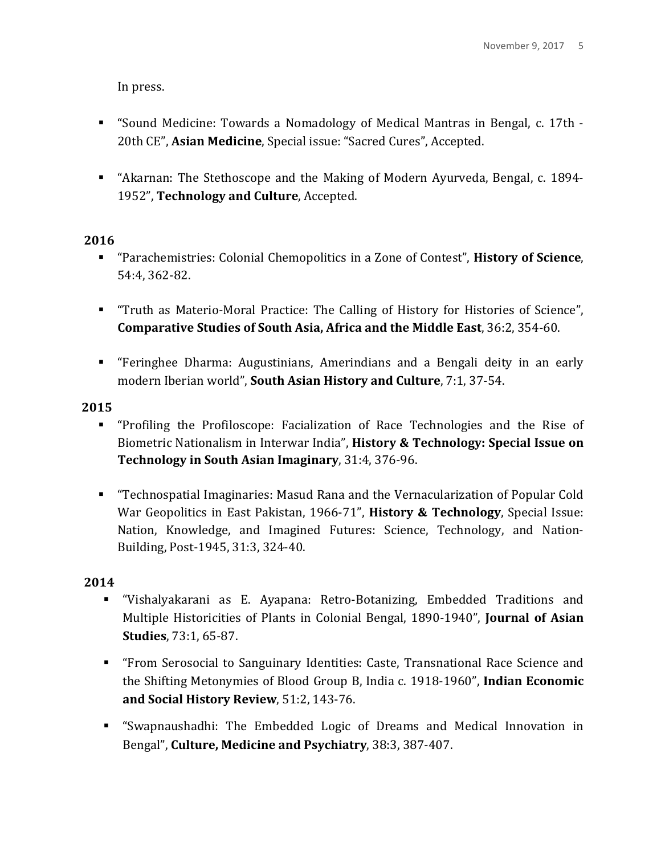In press.

- "Sound Medicine: Towards a Nomadology of Medical Mantras in Bengal, c. 17th -20th CE", Asian Medicine, Special issue: "Sacred Cures", Accepted.
- **EXECT:** "Akarnan: The Stethoscope and the Making of Modern Ayurveda, Bengal, c. 1894-1952", Technology and Culture, Accepted.

## **2016**

- **EXECUTE:** "Parachemistries: Colonial Chemopolitics in a Zone of Contest", **History of Science**, 54:4, 362-82.
- "Truth as Materio-Moral Practice: The Calling of History for Histories of Science", **Comparative Studies of South Asia, Africa and the Middle East**, 36:2, 354-60.
- **EXECT:** "Feringhee Dharma: Augustinians, Amerindians and a Bengali deity in an early modern Iberian world", **South Asian History and Culture**, 7:1, 37-54.

**2015**

- **.** "Profiling the Profiloscope: Facialization of Race Technologies and the Rise of Biometric Nationalism in Interwar India", **History & Technology: Special Issue on Technology in South Asian Imaginary**, 31:4, 376-96.
- **E** "Technospatial Imaginaries: Masud Rana and the Vernacularization of Popular Cold War Geopolitics in East Pakistan, 1966-71", **History & Technology**, Special Issue: Nation, Knowledge, and Imagined Futures: Science, Technology, and Nation-Building, Post-1945, 31:3, 324-40.

- ! "Vishalyakarani as E. Ayapana: Retro-Botanizing, Embedded Traditions and Multiple Historicities of Plants in Colonial Bengal, 1890-1940", **Journal of Asian Studies**, 73:1, 65-87.
- **EXECT:** "From Serosocial to Sanguinary Identities: Caste, Transnational Race Science and the Shifting Metonymies of Blood Group B, India c. 1918-1960", **Indian Economic** and Social History Review, 51:2, 143-76.
- **E** "Swapnaushadhi: The Embedded Logic of Dreams and Medical Innovation in Bengal", **Culture, Medicine and Psychiatry**, 38:3, 387-407.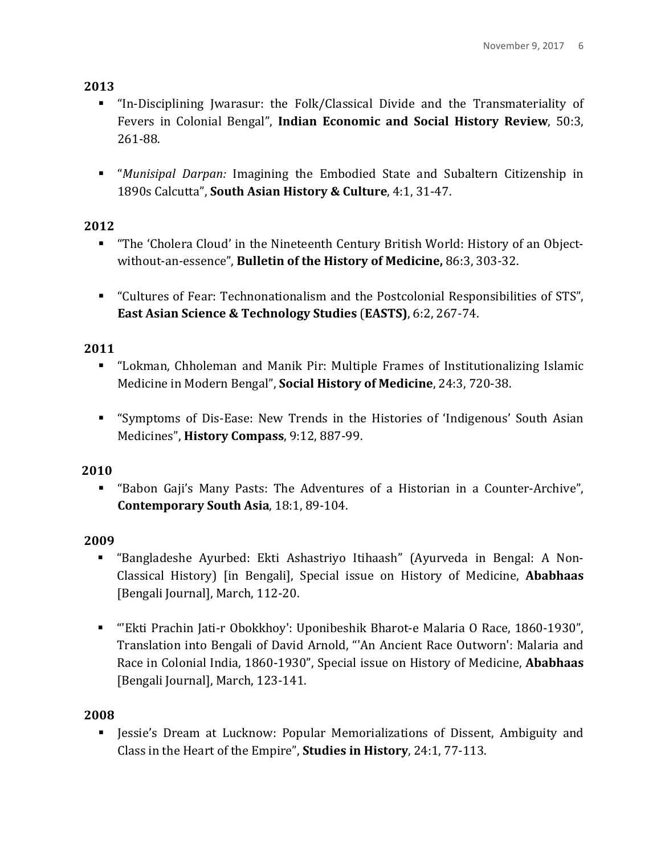- **.** "In-Disciplining Jwarasur: the Folk/Classical Divide and the Transmateriality of Fevers in Colonial Bengal", **Indian Economic and Social History Review**, 50:3, 261-88.
- **.** "*Munisipal Darpan:* Imagining the Embodied State and Subaltern Citizenship in 1890s Calcutta", **South Asian History & Culture**, 4:1, 31-47.

# **2012**

- **.** "The 'Cholera Cloud' in the Nineteenth Century British World: History of an Objectwithout-an-essence", **Bulletin of the History of Medicine**, 86:3, 303-32.
- "Cultures of Fear: Technonationalism and the Postcolonial Responsibilities of STS", **East Asian Science & Technology Studies (EASTS), 6:2, 267-74.**

# **2011**

- "Lokman, Chholeman and Manik Pir: Multiple Frames of Institutionalizing Islamic Medicine in Modern Bengal", **Social History of Medicine**, 24:3, 720-38.
- "Symptoms of Dis-Ease: New Trends in the Histories of 'Indigenous' South Asian Medicines", **History Compass**, 9:12, 887-99.

# **2010**

■ "Babon Gaji's Many Pasts: The Adventures of a Historian in a Counter-Archive", **Contemporary South Asia, 18:1, 89-104.** 

# **2009**

- "Bangladeshe Ayurbed: Ekti Ashastriyo Itihaash" (Ayurveda in Bengal: A Non-Classical History) [in Bengali], Special issue on History of Medicine, **Ababhaas** [Bengali Journal], March, 112-20.
- "Ekti Prachin Jati-r Obokkhoy': Uponibeshik Bharot-e Malaria O Race, 1860-1930", Translation into Bengali of David Arnold, "'An Ancient Race Outworn': Malaria and Race in Colonial India, 1860-1930", Special issue on History of Medicine, Ababhaas [Bengali Journal], March, 123-141.

## **2008**

**Example 1** Jessie's Dream at Lucknow: Popular Memorializations of Dissent, Ambiguity and Class in the Heart of the Empire", **Studies in History**, 24:1, 77-113.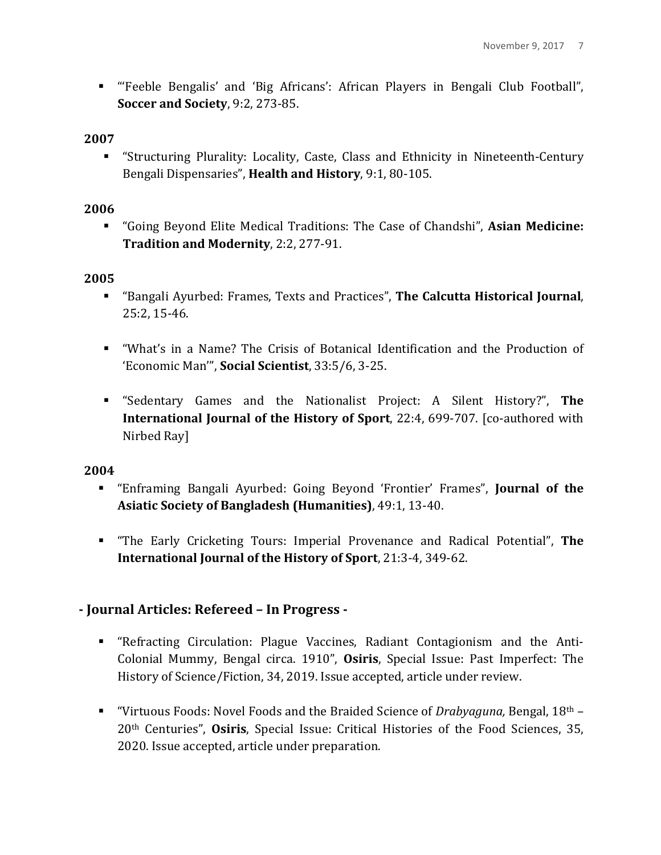! "'Feeble Bengalis' and 'Big Africans': African Players in Bengali Club Football", **Soccer and Society**, 9:2, 273-85.

### **2007**

**EXECT:** "Structuring Plurality: Locality, Caste, Class and Ethnicity in Nineteenth-Century Bengali Dispensaries", **Health and History**, 9:1, 80-105.

## **2006**

**"** "Going Beyond Elite Medical Traditions: The Case of Chandshi", **Asian Medicine: Tradition and Modernity**, 2:2, 277-91.

## **2005**

- **EXECT:** "Bangali Ayurbed: Frames, Texts and Practices", The Calcutta Historical Journal, 25:2, 15-46.
- **...** "What's in a Name? The Crisis of Botanical Identification and the Production of 'Economic Man'", **Social Scientist**, 33:5/6, 3-25.
- **.** "Sedentary Games and the Nationalist Project: A Silent History?", The **International Journal of the History of Sport**, 22:4, 699-707. [co-authored with Nirbed Ray]

## **2004**

- **Enframing Bangali Ayurbed: Going Beyond 'Frontier' Frames'', Journal of the Asiatic Society of Bangladesh (Humanities)**, 49:1, 13-40.
- **.** "The Early Cricketing Tours: Imperial Provenance and Radical Potential", The **International Journal of the History of Sport, 21:3-4, 349-62.**

# **- Journal Articles: Refereed – In Progress -**

- **EXECTE:** "Refracting Circulation: Plague Vaccines, Radiant Contagionism and the Anti-Colonial Mummy, Bengal circa. 1910", **Osiris**, Special Issue: Past Imperfect: The History of Science/Fiction, 34, 2019. Issue accepted, article under review.
- "Virtuous Foods: Novel Foods and the Braided Science of *Drabyaguna*, Bengal, 18<sup>th</sup> 20<sup>th</sup> Centuries", **Osiris**, Special Issue: Critical Histories of the Food Sciences, 35, 2020. Issue accepted, article under preparation.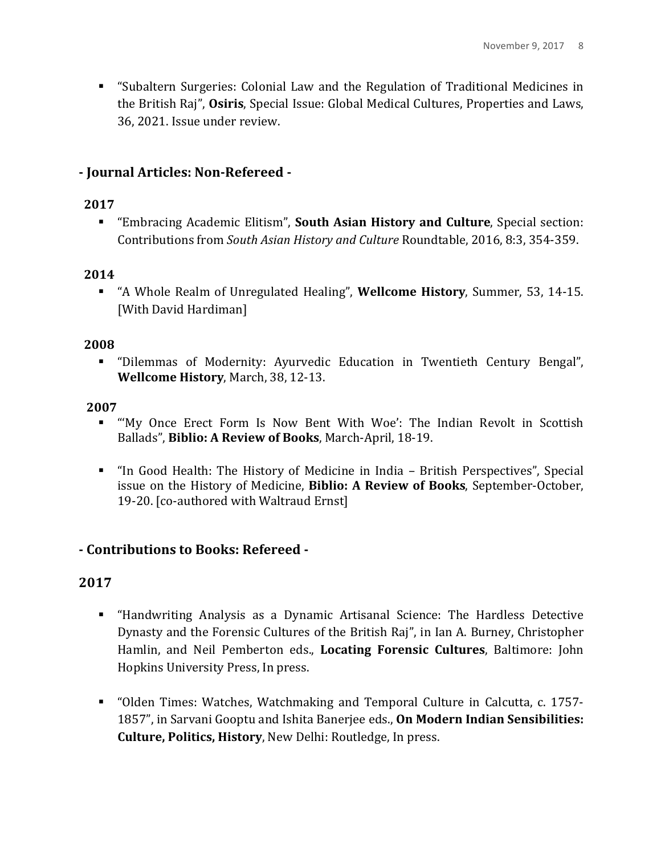**EXECUTE:** "Subaltern Surgeries: Colonial Law and the Regulation of Traditional Medicines in the British Raj", **Osiris**, Special Issue: Global Medical Cultures, Properties and Laws, 36, 2021. Issue under review.

## **- Journal Articles: Non-Refereed -**

## **2017**

**Embracing Academic Elitism", South Asian History and Culture**, Special section: Contributions from *South Asian History and Culture* Roundtable, 2016, 8:3, 354-359.

### **2014**

**.** "A Whole Realm of Unregulated Healing", **Wellcome History**, Summer, 53, 14-15. [With David Hardiman]

### **2008**

**EXECT:** "Dilemmas of Modernity: Ayurvedic Education in Twentieth Century Bengal", **Wellcome History**, March, 38, 12-13.

### **2007**

- "My Once Erect Form Is Now Bent With Woe': The Indian Revolt in Scottish Ballads", Biblio: A Review of Books, March-April, 18-19.
- "In Good Health: The History of Medicine in India British Perspectives", Special issue on the History of Medicine, Biblio: A Review of Books, September-October, 19-20. [co-authored with Waltraud Ernst]

## **- Contributions to Books: Refereed -**

- ! "Handwriting Analysis as a Dynamic Artisanal Science: The Hardless Detective Dynasty and the Forensic Cultures of the British Raj", in Ian A. Burney, Christopher Hamlin, and Neil Pemberton eds., **Locating Forensic Cultures**, Baltimore: John Hopkins University Press, In press.
- **.** "Olden Times: Watches, Watchmaking and Temporal Culture in Calcutta, c. 1757-1857", in Sarvani Gooptu and Ishita Banerjee eds., **On Modern Indian Sensibilities: Culture, Politics, History, New Delhi: Routledge, In press.**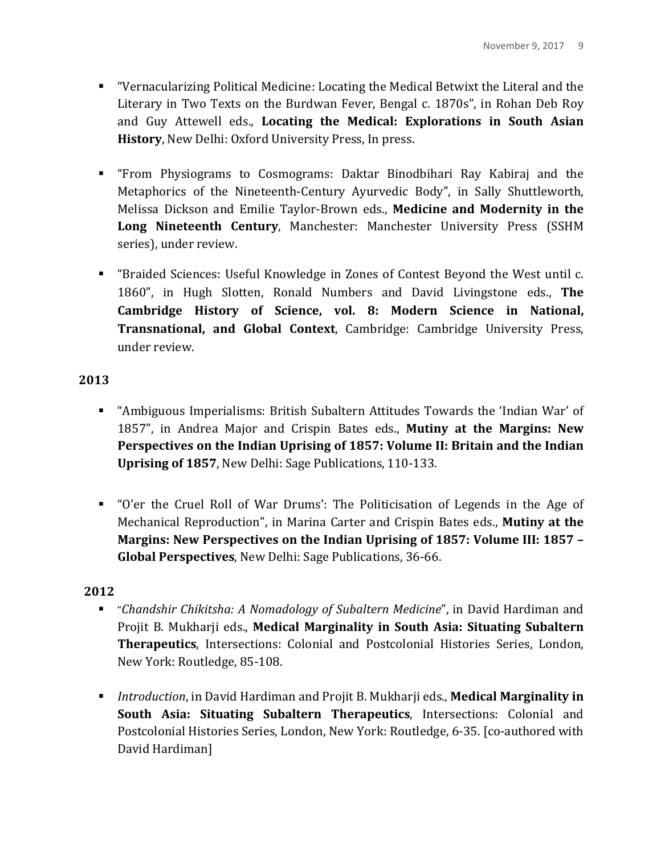- " "Vernacularizing Political Medicine: Locating the Medical Betwixt the Literal and the Literary in Two Texts on the Burdwan Fever, Bengal c. 1870s", in Rohan Deb Roy and Guy Attewell eds., Locating the Medical: Explorations in South Asian **History**, New Delhi: Oxford University Press, In press.
- ! "From Physiograms to Cosmograms: Daktar Binodbihari Ray Kabiraj and the Metaphorics of the Nineteenth-Century Ayurvedic Body", in Sally Shuttleworth, Melissa Dickson and Emilie Taylor-Brown eds., **Medicine and Modernity in the Long Nineteenth Century, Manchester: Manchester University Press (SSHM** series), under review.
- **.** "Braided Sciences: Useful Knowledge in Zones of Contest Beyond the West until c. 1860", in Hugh Slotten, Ronald Numbers and David Livingstone eds., **The** Cambridge History of Science, vol. 8: Modern Science in National, **Transnational, and Global Context**, Cambridge: Cambridge University Press, under review.

- **.** "Ambiguous Imperialisms: British Subaltern Attitudes Towards the 'Indian War' of 1857", in Andrea Major and Crispin Bates eds., **Mutiny at the Margins: New Perspectives on the Indian Uprising of 1857: Volume II: Britain and the Indian Uprising of 1857, New Delhi: Sage Publications, 110-133.**
- "O'er the Cruel Roll of War Drums': The Politicisation of Legends in the Age of Mechanical Reproduction", in Marina Carter and Crispin Bates eds., **Mutiny at the Margins: New Perspectives on the Indian Uprising of 1857: Volume III: 1857 – Global Perspectives**, New Delhi: Sage Publications, 36-66.

- **.** "Chandshir Chikitsha: A Nomadology of Subaltern Medicine", in David Hardiman and Projit B. Mukharji eds., Medical Marginality in South Asia: Situating Subaltern **Therapeutics**, Intersections: Colonial and Postcolonial Histories Series, London, New York: Routledge, 85-108.
- **Introduction, in David Hardiman and Projit B. Mukharji eds., Medical Marginality in South Asia: Situating Subaltern Therapeutics**, Intersections: Colonial and Postcolonial Histories Series, London, New York: Routledge, 6-35. [co-authored with David Hardiman]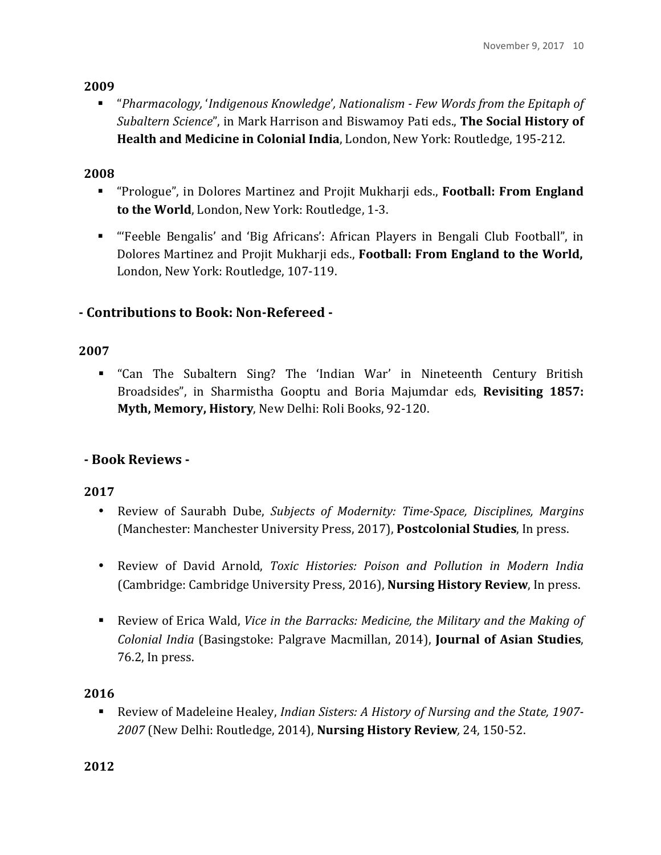**.** "*Pharmacology,* '*Indigenous Knowledge', Nationalism - Few Words from the Epitaph of Subaltern Science*", in Mark Harrison and Biswamoy Pati eds., **The Social History of Health and Medicine in Colonial India, London, New York: Routledge, 195-212.** 

## **2008**

- **.** "Prologue", in Dolores Martinez and Projit Mukharji eds., **Football: From England to the World**, London, New York: Routledge, 1-3.
- **E** "Feeble Bengalis' and 'Big Africans': African Players in Bengali Club Football", in Dolores Martinez and Projit Mukharji eds., **Football: From England to the World,** London, New York: Routledge, 107-119.

# **- Contributions to Book: Non-Refereed -**

## **2007**

**E** "Can The Subaltern Sing? The 'Indian War' in Nineteenth Century British Broadsides", in Sharmistha Gooptu and Boria Majumdar eds, Revisiting 1857: **Myth, Memory, History**, New Delhi: Roli Books, 92-120.

# **- Book Reviews -**

# **2017**

- Review of Saurabh Dube, *Subjects of Modernity: Time-Space, Disciplines, Margins* (Manchester: Manchester University Press, 2017), **Postcolonial Studies**, In press.
- Review of David Arnold, *Toxic Histories: Poison and Pollution in Modern India* (Cambridge: Cambridge University Press, 2016), **Nursing History Review**, In press.
- **.** Review of Erica Wald, *Vice in the Barracks: Medicine, the Military and the Making of Colonial India* (Basingstoke: Palgrave Macmillan, 2014), **Journal of Asian Studies**,  $76.2$ , In press.

## **2016**

■ Review of Madeleine Healey, *Indian Sisters: A History of Nursing and the State, 1907-2007* (New Delhi: Routledge, 2014), **Nursing History Review***,* 24, 150-52.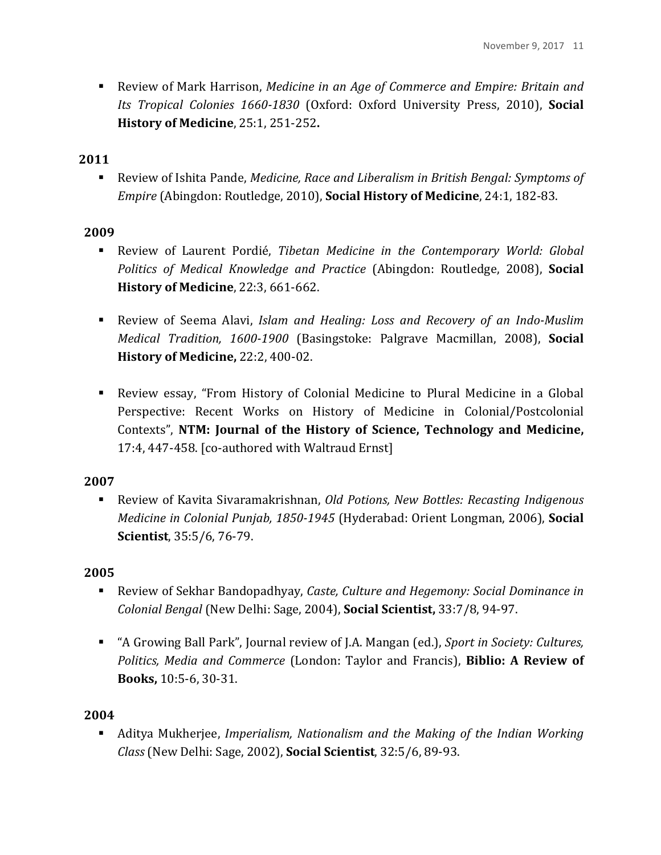**EXELGARED ENDERGY** Review of Mark Harrison, *Medicine in an Age of Commerce and Empire: Britain and Its Tropical Colonies 1660-1830* (Oxford: Oxford University Press, 2010), **Social History of Medicine**, 25:1, 251-252.

#### **2011**

■ Review of Ishita Pande, *Medicine, Race and Liberalism in British Bengal: Symptoms of Empire* (Abingdon: Routledge, 2010), **Social History of Medicine**, 24:1, 182-83.

### **2009**

- **EXECTED:** Review of Laurent Pordié, *Tibetan Medicine in the Contemporary World: Global Politics of Medical Knowledge and Practice* (Abingdon: Routledge, 2008), **Social History of Medicine**, 22:3, 661-662.
- **EXECTED:** Review of Seema Alavi, *Islam and Healing: Loss and Recovery of an Indo-Muslim Medical Tradition, 1600-1900* (Basingstoke: Palgrave Macmillan, 2008), **Social History of Medicine, 22:2, 400-02.**
- **EXECTE:** Review essay, "From History of Colonial Medicine to Plural Medicine in a Global Perspective: Recent Works on History of Medicine in Colonial/Postcolonial Contexts", NTM: Journal of the History of Science, Technology and Medicine, 17:4, 447-458. [co-authored with Waltraud Ernst]

### **2007**

■ Review of Kavita Sivaramakrishnan, *Old Potions, New Bottles: Recasting Indigenous Medicine in Colonial Punjab, 1850-1945* (Hyderabad: Orient Longman, 2006), **Social Scientist**, 35:5/6, 76-79.

#### **2005**

- Review of Sekhar Bandopadhyay, *Caste, Culture and Hegemony: Social Dominance in Colonial Bengal* (New Delhi: Sage, 2004), **Social Scientist,** 33:7/8, 94-97.
- "A Growing Ball Park", Journal review of J.A. Mangan (ed.), *Sport in Society: Cultures, Politics, Media and Commerce* (London: Taylor and Francis), **Biblio: A Review of Books,** 10:5-6, 30-31.

#### **2004**

**.** Aditya Mukherjee, *Imperialism*, Nationalism and the Making of the Indian Working *Class* (New Delhi: Sage, 2002), **Social Scientist**, 32:5/6, 89-93.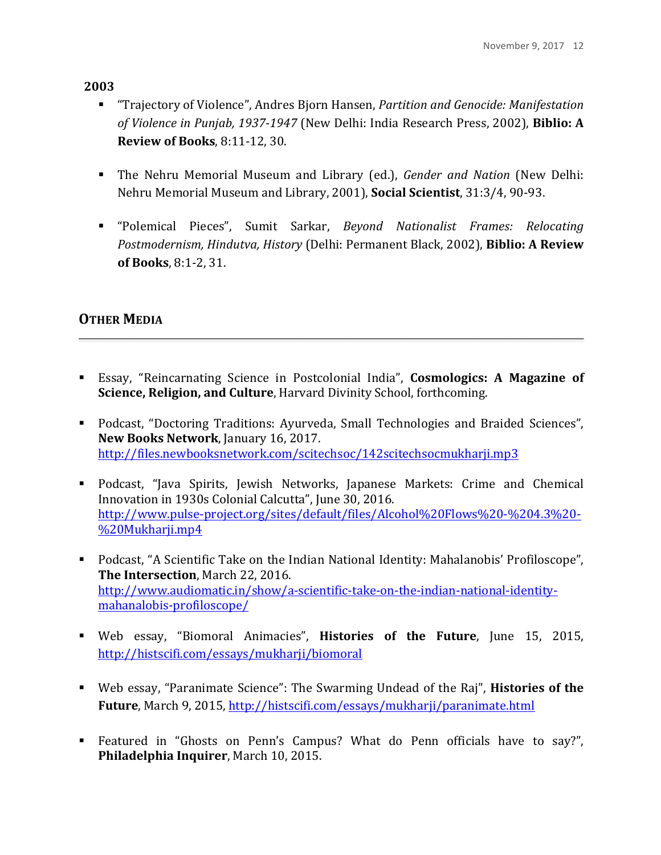- **.** "Trajectory of Violence", Andres Bjorn Hansen, *Partition and Genocide: Manifestation of Violence in Punjab, 1937-1947* (New Delhi: India Research Press, 2002), **Biblio: A Review of Books**, 8:11-12, 30.
- **.** The Nehru Memorial Museum and Library (ed.), *Gender and Nation* (New Delhi: Nehru Memorial Museum and Library, 2001), **Social Scientist**, 31:3/4, 90-93.
- **.** "Polemical Pieces", Sumit Sarkar, *Beyond Nationalist Frames: Relocating Postmodernism, Hindutva, History* (Delhi: Permanent Black, 2002), **Biblio: A Review of Books**, 8:1-2, 31.

# **OTHER MEDIA**

- **Essay, "Reincarnating Science in Postcolonial India", Cosmologics: A Magazine of Science, Religion, and Culture**, Harvard Divinity School, forthcoming.
- **.** Podcast, "Doctoring Traditions: Ayurveda, Small Technologies and Braided Sciences", **New Books Network**, January 16, 2017. http://files.newbooksnetwork.com/scitechsoc/142scitechsocmukharji.mp3
- **.** Podcast, "Java Spirits, Jewish Networks, Japanese Markets: Crime and Chemical Innovation in 1930s Colonial Calcutta", June 30, 2016. http://www.pulse-project.org/sites/default/files/Alcohol%20Flows%20-%204.3%20- %20Mukharji.mp4
- **.** Podcast, "A Scientific Take on the Indian National Identity: Mahalanobis' Profiloscope", **The Intersection**, March 22, 2016. http://www.audiomatic.in/show/a-scientific-take-on-the-indian-national-identitymahanalobis-profiloscope/
- **.** Web essay, "Biomoral Animacies", **Histories of the Future**, June 15, 2015, http://histscifi.com/essays/mukharji/biomoral
- **.** Web essay, "Paranimate Science": The Swarming Undead of the Raj", **Histories of the Future**, March 9, 2015, http://histscifi.com/essays/mukharji/paranimate.html
- **Example 1** Featured in "Ghosts on Penn's Campus? What do Penn officials have to say?", **Philadelphia Inquirer**, March 10, 2015.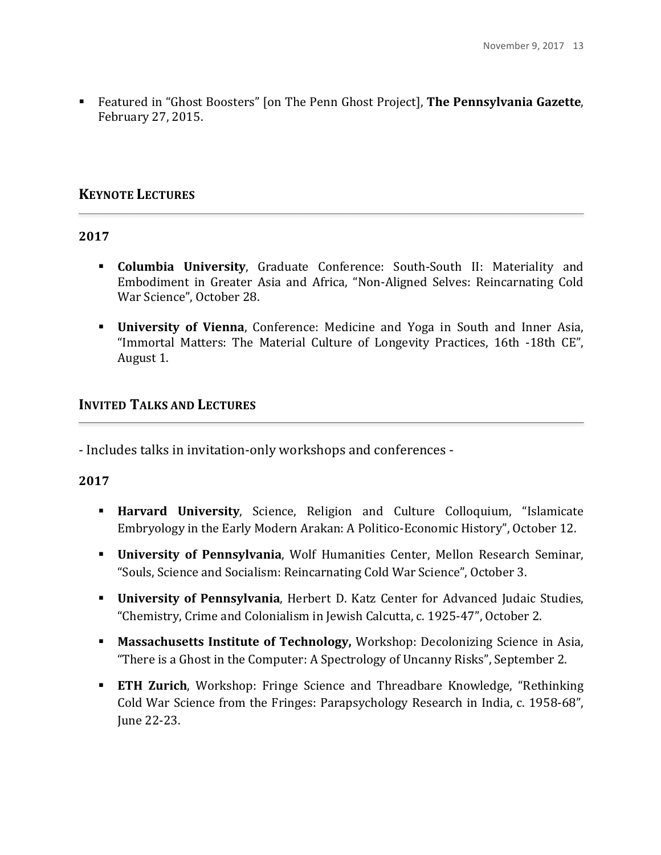**Examble 1** Featured in "Ghost Boosters" [on The Penn Ghost Project], **The Pennsylvania Gazette**, February 27, 2015.

## **KEYNOTE LECTURES**

#### **2017**

- **Examble University**, Graduate Conference: South-South II: Materiality and Embodiment in Greater Asia and Africa, "Non-Aligned Selves: Reincarnating Cold War Science", October 28.
- **. University of Vienna**, Conference: Medicine and Yoga in South and Inner Asia, "Immortal Matters: The Material Culture of Longevity Practices, 16th -18th CE", August 1.

## **INVITED TALKS AND LECTURES**

- Includes talks in invitation-only workshops and conferences -

- **. Harvard University**, Science, Religion and Culture Colloquium, "Islamicate Embryology in the Early Modern Arakan: A Politico-Economic History", October 12.
- **EXECT:** University of Pennsylvania, Wolf Humanities Center, Mellon Research Seminar, "Souls, Science and Socialism: Reincarnating Cold War Science", October 3.
- **· University of Pennsylvania**, Herbert D. Katz Center for Advanced Judaic Studies, "Chemistry, Crime and Colonialism in Jewish Calcutta, c. 1925-47", October 2.
- **I.** Massachusetts Institute of Technology, Workshop: Decolonizing Science in Asia, "There is a Ghost in the Computer: A Spectrology of Uncanny Risks", September 2.
- **ETH Zurich**, Workshop: Fringe Science and Threadbare Knowledge, "Rethinking Cold War Science from the Fringes: Parapsychology Research in India, c. 1958-68", June 22-23.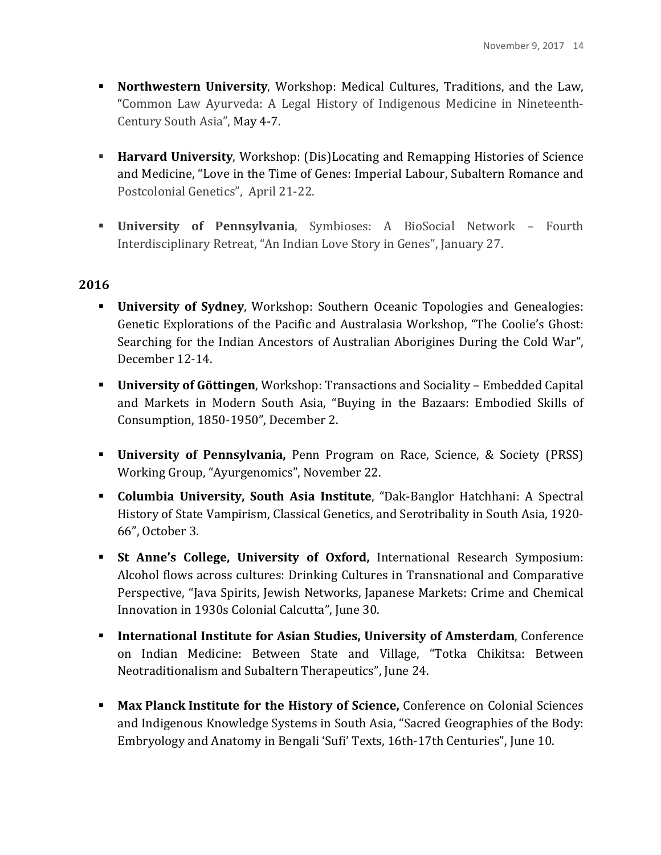- **Northwestern University, Workshop: Medical Cultures, Traditions, and the Law,** "Common Law Ayurveda: A Legal History of Indigenous Medicine in Nineteenth-Century South Asia", May 4-7.
- **Harvard University,** Workshop: (Dis)Locating and Remapping Histories of Science and Medicine, "Love in the Time of Genes: Imperial Labour, Subaltern Romance and Postcolonial Genetics", April 21-22.
- **Example 1 University of Pennsylvania**, Symbioses: A BioSocial Network Fourth Interdisciplinary Retreat, "An Indian Love Story in Genes", January 27.

- **EXECUTE:** University of Sydney, Workshop: Southern Oceanic Topologies and Genealogies: Genetic Explorations of the Pacific and Australasia Workshop, "The Coolie's Ghost: Searching for the Indian Ancestors of Australian Aborigines During the Cold War", December 12-14.
- **University of Göttingen**, Workshop: Transactions and Sociality Embedded Capital and Markets in Modern South Asia, "Buying in the Bazaars: Embodied Skills of Consumption, 1850-1950", December 2.
- **EXECT:** University of Pennsylvania, Penn Program on Race, Science, & Society (PRSS) Working Group, "Ayurgenomics", November 22.
- **Columbia University, South Asia Institute**, "Dak-Banglor Hatchhani: A Spectral History of State Vampirism, Classical Genetics, and Serotribality in South Asia, 1920-66", October 3.
- **Example 1 St Anne's College, University of Oxford, International Research Symposium:** Alcohol flows across cultures: Drinking Cultures in Transnational and Comparative Perspective, "Java Spirits, Jewish Networks, Japanese Markets: Crime and Chemical Innovation in 1930s Colonial Calcutta", June 30.
- **International Institute for Asian Studies, University of Amsterdam**, Conference on Indian Medicine: Between State and Village, "Totka Chikitsa: Between Neotraditionalism and Subaltern Therapeutics", June 24.
- **. Max Planck Institute for the History of Science,** Conference on Colonial Sciences and Indigenous Knowledge Systems in South Asia, "Sacred Geographies of the Body: Embryology and Anatomy in Bengali 'Sufi' Texts, 16th-17th Centuries", June 10.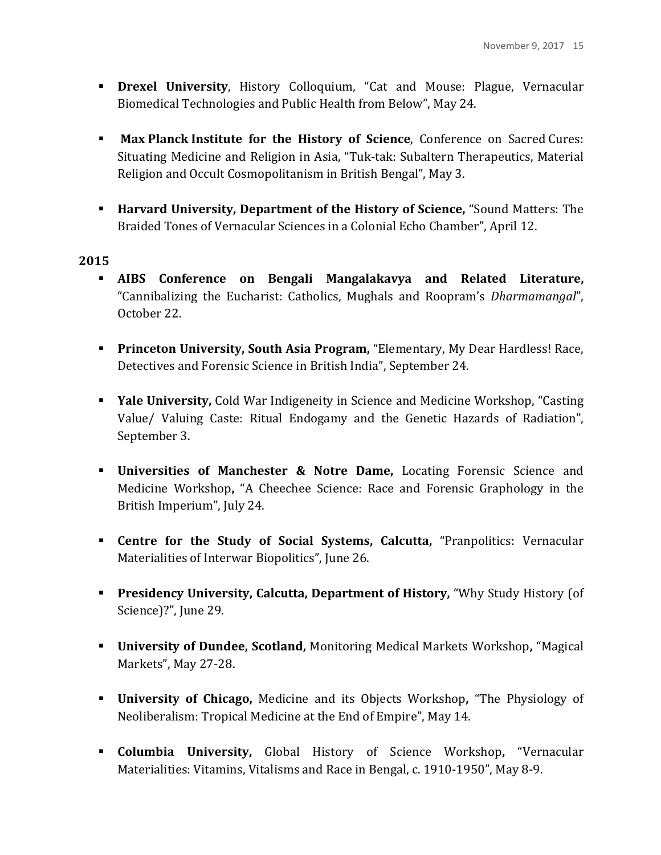- **. Drexel University**, History Colloquium, "Cat and Mouse: Plague, Vernacular Biomedical Technologies and Public Health from Below", May 24.
- **I** Max Planck Institute for the History of Science, Conference on Sacred Cures: Situating Medicine and Religion in Asia, "Tuk-tak: Subaltern Therapeutics, Material Religion and Occult Cosmopolitanism in British Bengal", May 3.
- **. Harvard University, Department of the History of Science,** "Sound Matters: The Braided Tones of Vernacular Sciences in a Colonial Echo Chamber", April 12.

- **.** AIBS Conference on Bengali Mangalakavya and Related Literature, "Cannibalizing the Eucharist: Catholics, Mughals and Roopram's *Dharmamangal*", October 22.
- **Princeton University, South Asia Program, "Elementary, My Dear Hardless! Race,** Detectives and Forensic Science in British India", September 24.
- **EXECT:** Yale University, Cold War Indigeneity in Science and Medicine Workshop, "Casting Value/ Valuing Caste: Ritual Endogamy and the Genetic Hazards of Radiation", September 3.
- **EXECUTE:** Universities of Manchester & Notre Dame, Locating Forensic Science and Medicine Workshop, "A Cheechee Science: Race and Forensic Graphology in the British Imperium", July 24.
- **EXECTE:** Centre for the Study of Social Systems, Calcutta, "Pranpolitics: Vernacular Materialities of Interwar Biopolitics", June 26.
- **Presidency University, Calcutta, Department of History, "Why Study History (of** Science)?", June 29.
- **.** University of Dundee, Scotland, Monitoring Medical Markets Workshop, "Magical Markets", May 27-28.
- **EXECUTE: University of Chicago,** Medicine and its Objects Workshop, "The Physiology of Neoliberalism: Tropical Medicine at the End of Empire", May 14.
- **Examble University,** Global History of Science Workshop, "Vernacular Materialities: Vitamins, Vitalisms and Race in Bengal, c. 1910-1950", May 8-9.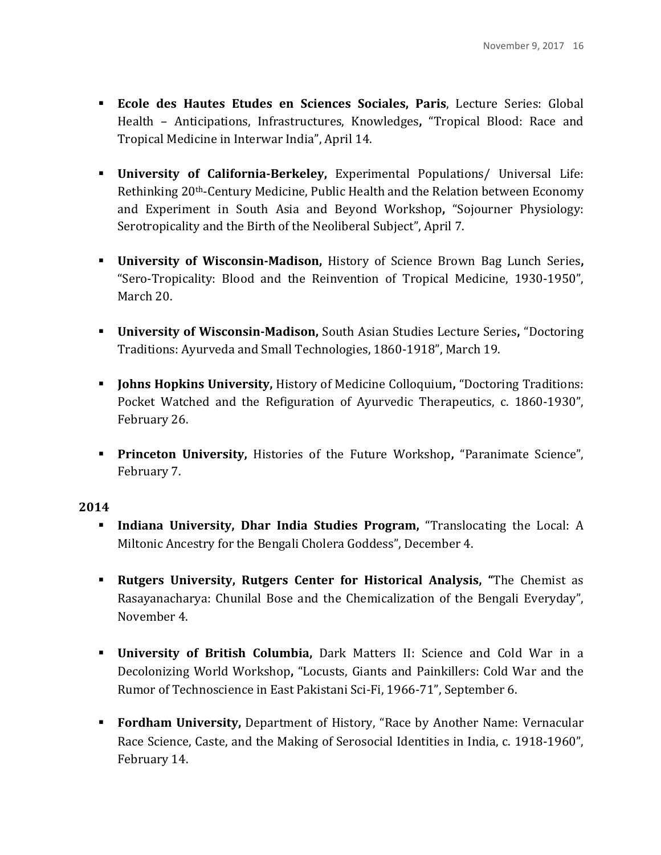- **Ecole des Hautes Etudes en Sciences Sociales, Paris**, Lecture Series: Global Health - Anticipations, Infrastructures, Knowledges, "Tropical Blood: Race and Tropical Medicine in Interwar India", April 14.
- **EXPERIENT:** University of California-Berkeley, Experimental Populations/ Universal Life: Rethinking 20<sup>th</sup>-Century Medicine, Public Health and the Relation between Economy and Experiment in South Asia and Beyond Workshop, "Sojourner Physiology: Serotropicality and the Birth of the Neoliberal Subject", April 7.
- **E** University of Wisconsin-Madison, History of Science Brown Bag Lunch Series, "Sero-Tropicality: Blood and the Reinvention of Tropical Medicine, 1930-1950", March 20.
- **EXECT:** University of Wisconsin-Madison, South Asian Studies Lecture Series, "Doctoring Traditions: Ayurveda and Small Technologies, 1860-1918", March 19.
- **EXECUTE:** Johns Hopkins University, History of Medicine Colloquium, "Doctoring Traditions: Pocket Watched and the Refiguration of Ayurvedic Therapeutics, c. 1860-1930", February 26.
- **Princeton University, Histories of the Future Workshop, "Paranimate Science",** February 7.

- **Indiana University, Dhar India Studies Program,** "Translocating the Local: A Miltonic Ancestry for the Bengali Cholera Goddess", December 4.
- **Example 1 Rutgers University, Rutgers Center for Historical Analysis, "The Chemist as** Rasayanacharya: Chunilal Bose and the Chemicalization of the Bengali Everyday", November 4.
- **.** University of British Columbia, Dark Matters II: Science and Cold War in a Decolonizing World Workshop, "Locusts, Giants and Painkillers: Cold War and the Rumor of Technoscience in East Pakistani Sci-Fi, 1966-71", September 6.
- **Fordham University, Department of History, "Race by Another Name: Vernacular** Race Science, Caste, and the Making of Serosocial Identities in India, c. 1918-1960", February 14.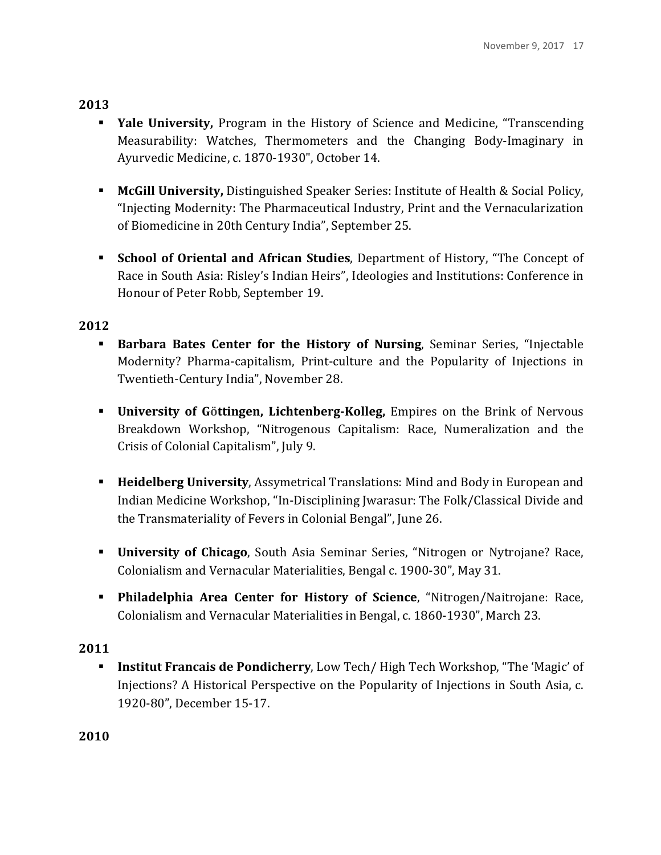- **Yale University,** Program in the History of Science and Medicine, "Transcending Measurability: Watches, Thermometers and the Changing Body-Imaginary in Ayurvedic Medicine, c. 1870-1930", October 14.
- **McGill University,** Distinguished Speaker Series: Institute of Health & Social Policy, "Injecting Modernity: The Pharmaceutical Industry, Print and the Vernacularization of Biomedicine in 20th Century India", September 25.
- **Example 3 School of Oriental and African Studies, Department of History, "The Concept of State 3** Race in South Asia: Risley's Indian Heirs", Ideologies and Institutions: Conference in Honour of Peter Robb, September 19.

### **2012**

- **Example 1 Barbara Bates Center for the History of Nursing, Seminar Series, "Injectable** Modernity? Pharma-capitalism, Print-culture and the Popularity of Injections in Twentieth-Century India", November 28.
- **.** University of Göttingen, Lichtenberg-Kolleg, Empires on the Brink of Nervous Breakdown Workshop, "Nitrogenous Capitalism: Race, Numeralization and the Crisis of Colonial Capitalism", July 9.
- **EXPEDEDED INGO University, Assymetrical Translations: Mind and Body in European and** Indian Medicine Workshop, "In-Disciplining Jwarasur: The Folk/Classical Divide and the Transmateriality of Fevers in Colonial Bengal", June 26.
- **· University of Chicago**, South Asia Seminar Series, "Nitrogen or Nytrojane? Race, Colonialism and Vernacular Materialities, Bengal c. 1900-30", May 31.
- **.** Philadelphia Area Center for History of Science, "Nitrogen/Naitrojane: Race, Colonialism and Vernacular Materialities in Bengal, c. 1860-1930", March 23.

## **2011**

**Institut Francais de Pondicherry**, Low Tech/ High Tech Workshop, "The 'Magic' of Injections? A Historical Perspective on the Popularity of Injections in South Asia, c. 1920-80", December 15-17.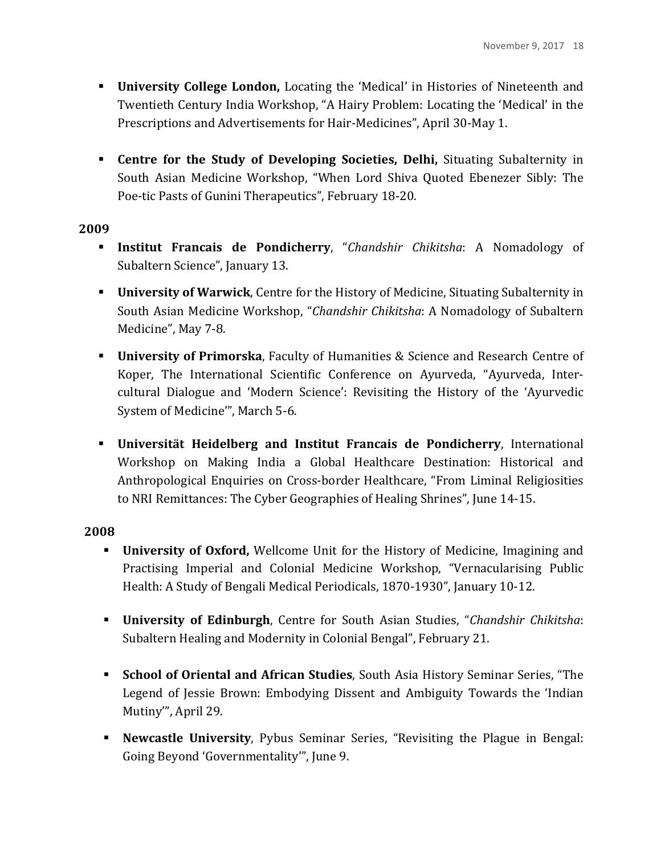- **. University College London,** Locating the 'Medical' in Histories of Nineteenth and Twentieth Century India Workshop, "A Hairy Problem: Locating the 'Medical' in the Prescriptions and Advertisements for Hair-Medicines", April 30-May 1.
- **Example 1 Centre for the Study of Developing Societies, Delhi, Situating Subalternity in** South Asian Medicine Workshop, "When Lord Shiva Quoted Ebenezer Sibly: The Poe-tic Pasts of Gunini Therapeutics", February 18-20.

- **Institut Francais de Pondicherry**, "Chandshir Chikitsha: A Nomadology of Subaltern Science", January 13.
- **EXECT:** University of Warwick, Centre for the History of Medicine, Situating Subalternity in South Asian Medicine Workshop, "*Chandshir Chikitsha*: A Nomadology of Subaltern Medicine", May 7-8.
- **EXECUTE:** University of Primorska, Faculty of Humanities & Science and Research Centre of Koper, The International Scientific Conference on Ayurveda, "Ayurveda, Intercultural Dialogue and 'Modern Science': Revisiting the History of the 'Ayurvedic System of Medicine"', March 5-6.
- **EXECUTE:** Universität Heidelberg and Institut Francais de Pondicherry, International Workshop on Making India a Global Healthcare Destination: Historical and Anthropological Enquiries on Cross-border Healthcare, "From Liminal Religiosities to NRI Remittances: The Cyber Geographies of Healing Shrines", June 14-15.

- **University of Oxford,** Wellcome Unit for the History of Medicine, Imagining and Practising Imperial and Colonial Medicine Workshop, "Vernacularising Public Health: A Study of Bengali Medical Periodicals, 1870-1930", January 10-12.
- **. University of Edinburgh**, Centre for South Asian Studies, "*Chandshir Chikitsha*: Subaltern Healing and Modernity in Colonial Bengal", February 21.
- **Examble 1 School of Oriental and African Studies**, South Asia History Seminar Series, "The Legend of Jessie Brown: Embodying Dissent and Ambiguity Towards the 'Indian Mutiny'", April 29.
- **Newcastle University**, Pybus Seminar Series, "Revisiting the Plague in Bengal: Going Beyond 'Governmentality'", June 9.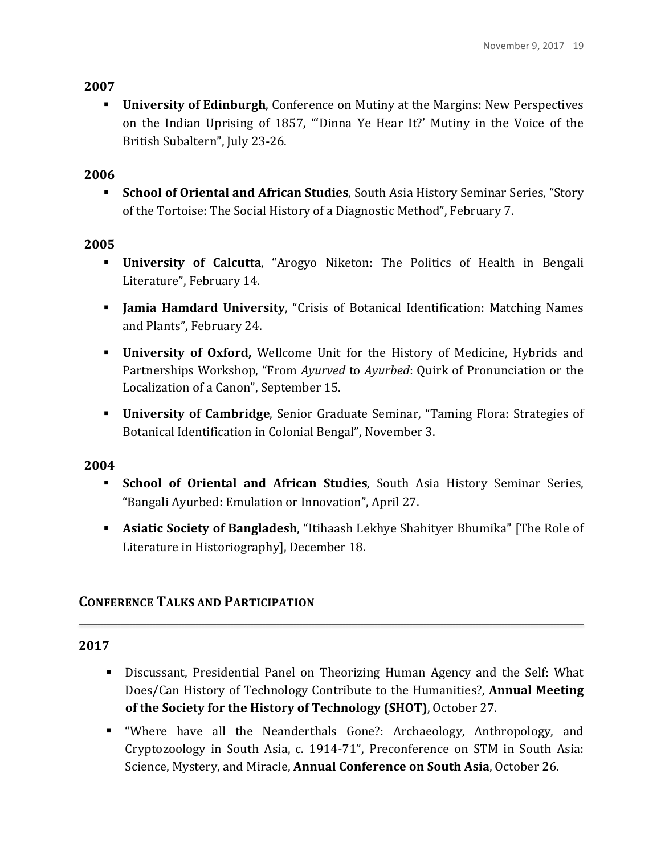**University of Edinburgh**, Conference on Mutiny at the Margins: New Perspectives on the Indian Uprising of 1857, "'Dinna Ye Hear It?' Mutiny in the Voice of the British Subaltern", July 23-26.

## **2006**

**Examble 5 School of Oriental and African Studies**, South Asia History Seminar Series, "Story of the Tortoise: The Social History of a Diagnostic Method", February 7.

## **2005**

- **EXECUTE: University of Calcutta**, "Arogyo Niketon: The Politics of Health in Bengali Literature", February 14.
- **If Jamia Hamdard University**, "Crisis of Botanical Identification: Matching Names and Plants", February 24.
- **. University of Oxford,** Wellcome Unit for the History of Medicine, Hybrids and Partnerships Workshop, "From *Ayurved* to *Ayurbed*: Quirk of Pronunciation or the Localization of a Canon", September 15.
- **University of Cambridge**, Senior Graduate Seminar, "Taming Flora: Strategies of Botanical Identification in Colonial Bengal", November 3.

## **2004**

- **Example 1 School of Oriental and African Studies**, South Asia History Seminar Series, "Bangali Ayurbed: Emulation or Innovation", April 27.
- **Example 1 Asiatic Society of Bangladesh**, "Itihaash Lekhye Shahityer Bhumika" [The Role of Literature in Historiography], December 18.

# **CONFERENCE TALKS AND PARTICIPATION**

- **.** Discussant, Presidential Panel on Theorizing Human Agency and the Self: What Does/Can History of Technology Contribute to the Humanities?, **Annual Meeting of the Society for the History of Technology (SHOT)**, October 27.
- **.** "Where have all the Neanderthals Gone?: Archaeology, Anthropology, and Cryptozoology in South Asia, c. 1914-71", Preconference on STM in South Asia: Science, Mystery, and Miracle, **Annual Conference on South Asia**, October 26.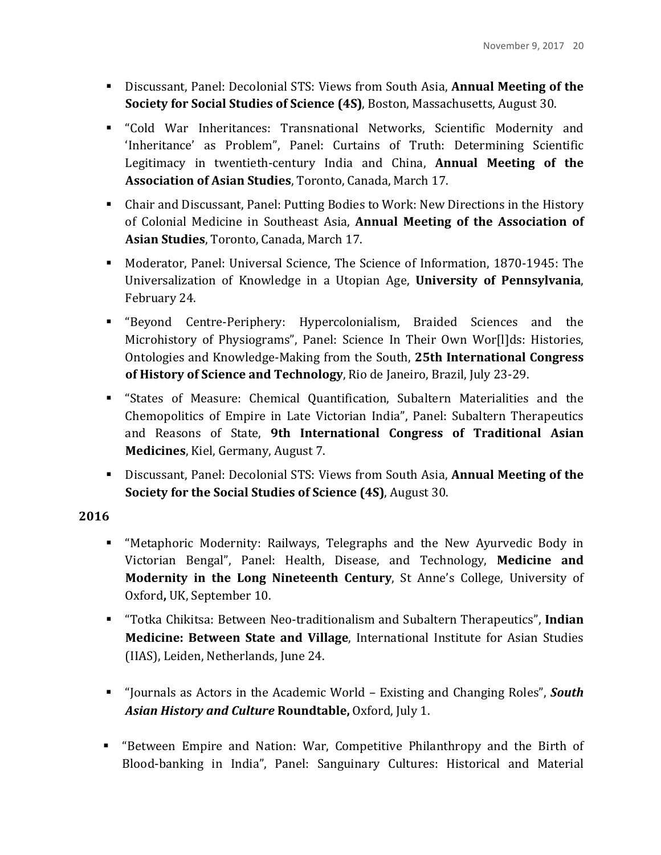- **.** Discussant, Panel: Decolonial STS: Views from South Asia, **Annual Meeting of the Society for Social Studies of Science (4S)**, Boston, Massachusetts, August 30.
- ! "Cold War Inheritances: Transnational Networks, Scientific Modernity and 'Inheritance' as Problem", Panel: Curtains of Truth: Determining Scientific Legitimacy in twentieth-century India and China, **Annual Meeting of the** Association of Asian Studies, Toronto, Canada, March 17.
- Chair and Discussant, Panel: Putting Bodies to Work: New Directions in the History of Colonial Medicine in Southeast Asia, **Annual Meeting of the Association of Asian Studies**, Toronto, Canada, March 17.
- Moderator, Panel: Universal Science, The Science of Information, 1870-1945: The Universalization of Knowledge in a Utopian Age, **University of Pennsylvania**, February 24.
- ! "Beyond Centre-Periphery: Hypercolonialism, Braided Sciences and the Microhistory of Physiograms", Panel: Science In Their Own Wor[I]ds: Histories, Ontologies and Knowledge-Making from the South, 25th International Congress **of History of Science and Technology**, Rio de Janeiro, Brazil, July 23-29.
- **EXECT:** "States of Measure: Chemical Quantification, Subaltern Materialities and the Chemopolitics of Empire in Late Victorian India", Panel: Subaltern Therapeutics and Reasons of State, 9th International Congress of Traditional Asian **Medicines**, Kiel, Germany, August 7.
- **EXECOLOGET ISLEX** Discussant, Panel: Decolonial STS: Views from South Asia, **Annual Meeting of the Society for the Social Studies of Science (4S), August 30.**

- **E** "Metaphoric Modernity: Railways, Telegraphs and the New Ayurvedic Body in Victorian Bengal", Panel: Health, Disease, and Technology, Medicine and **Modernity in the Long Nineteenth Century**, St Anne's College, University of Oxford, UK, September 10.
- **E** "Totka Chikitsa: Between Neo-traditionalism and Subaltern Therapeutics", Indian **Medicine: Between State and Village**, International Institute for Asian Studies (IIAS), Leiden, Netherlands, June 24.
- "Journals as Actors in the Academic World Existing and Changing Roles", *South* Asian History and Culture Roundtable, Oxford, July 1.
- "Between Empire and Nation: War, Competitive Philanthropy and the Birth of Blood-banking in India", Panel: Sanguinary Cultures: Historical and Material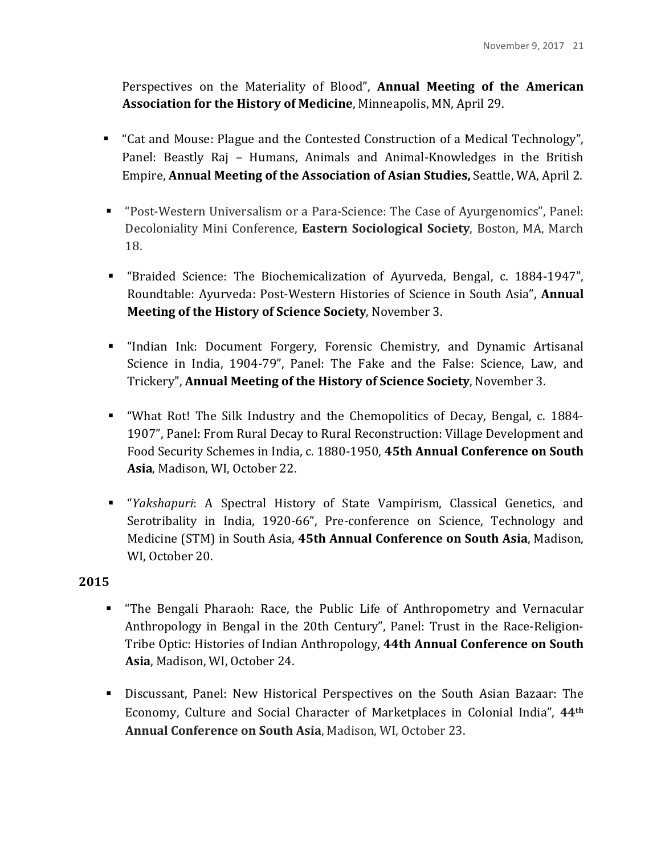Perspectives on the Materiality of Blood", **Annual Meeting of the American Association for the History of Medicine**, Minneapolis, MN, April 29.

- " "Cat and Mouse: Plague and the Contested Construction of a Medical Technology", Panel: Beastly Raj – Humans, Animals and Animal-Knowledges in the British **Empire, Annual Meeting of the Association of Asian Studies, Seattle, WA, April 2.**
- "Post-Western Universalism or a Para-Science: The Case of Ayurgenomics", Panel: Decoloniality Mini Conference, Eastern Sociological Society, Boston, MA, March 18.
- ! "Braided Science: The Biochemicalization of Ayurveda, Bengal, c. 1884-1947", Roundtable: Ayurveda: Post-Western Histories of Science in South Asia", **Annual Meeting of the History of Science Society**, November 3.
- **I.** "Indian Ink: Document Forgery, Forensic Chemistry, and Dynamic Artisanal Science in India, 1904-79", Panel: The Fake and the False: Science, Law, and Trickery", **Annual Meeting of the History of Science Society**, November 3.
- **...** "What Rot! The Silk Industry and the Chemopolitics of Decay, Bengal, c. 1884-1907", Panel: From Rural Decay to Rural Reconstruction: Village Development and Food Security Schemes in India, c. 1880-1950, 45th Annual Conference on South Asia, Madison, WI, October 22.
- ! "*Yakshapuri*: A Spectral History of State Vampirism, Classical Genetics, and Serotribality in India, 1920-66", Pre-conference on Science, Technology and Medicine (STM) in South Asia, 45th Annual Conference on South Asia, Madison, WI, October 20.

- **.** "The Bengali Pharaoh: Race, the Public Life of Anthropometry and Vernacular Anthropology in Bengal in the 20th Century", Panel: Trust in the Race-Religion-Tribe Optic: Histories of Indian Anthropology, 44th Annual Conference on South Asia, Madison, WI, October 24.
- **.** Discussant, Panel: New Historical Perspectives on the South Asian Bazaar: The Economy, Culture and Social Character of Marketplaces in Colonial India", 44<sup>th</sup> **Annual Conference on South Asia, Madison, WI, October 23.**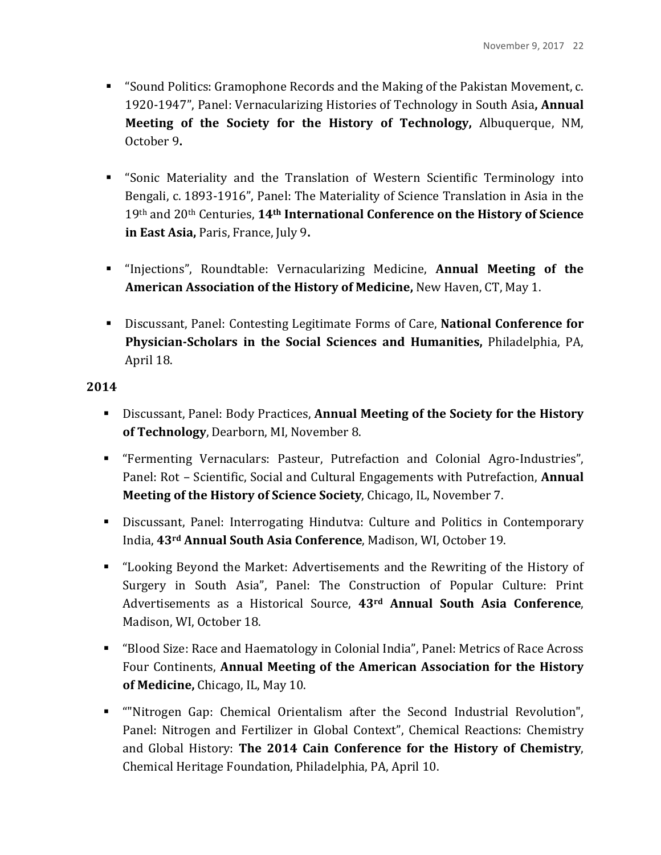- **.** "Sound Politics: Gramophone Records and the Making of the Pakistan Movement, c. 1920-1947", Panel: Vernacularizing Histories of Technology in South Asia, Annual **Meeting of the Society for the History of Technology, Albuquerque, NM,** October 9**.**
- **EXECT:** "Sonic Materiality and the Translation of Western Scientific Terminology into Bengali, c. 1893-1916", Panel: The Materiality of Science Translation in Asia in the 19th and 20th Centuries, 14th International Conference on the History of Science **in East Asia, Paris, France, July 9.**
- **.** "Injections", Roundtable: Vernacularizing Medicine, **Annual Meeting of the American Association of the History of Medicine, New Haven, CT, May 1.**
- **EXECUPERENA:** Discussant, Panel: Contesting Legitimate Forms of Care, National Conference for **Physician-Scholars in the Social Sciences and Humanities, Philadelphia, PA,** April 18.

- **Example 1** Discussant, Panel: Body Practices, Annual Meeting of the Society for the History **of Technology**, Dearborn, MI, November 8.
- ! "Fermenting Vernaculars: Pasteur, Putrefaction and Colonial Agro-Industries", Panel: Rot – Scientific, Social and Cultural Engagements with Putrefaction, **Annual Meeting of the History of Science Society, Chicago, IL, November 7.**
- **.** Discussant, Panel: Interrogating Hindutva: Culture and Politics in Contemporary India, 43<sup>rd</sup> Annual South Asia Conference, Madison, WI, October 19.
- **.** "Looking Beyond the Market: Advertisements and the Rewriting of the History of Surgery in South Asia", Panel: The Construction of Popular Culture: Print Advertisements as a Historical Source, 43<sup>rd</sup> Annual South Asia Conference, Madison, WI, October 18.
- "Blood Size: Race and Haematology in Colonial India", Panel: Metrics of Race Across Four Continents, **Annual Meeting of the American Association for the History of Medicine,** Chicago, IL, May 10.
- **"** "Nitrogen Gap: Chemical Orientalism after the Second Industrial Revolution", Panel: Nitrogen and Fertilizer in Global Context", Chemical Reactions: Chemistry and Global History: **The 2014 Cain Conference for the History of Chemistry**, Chemical Heritage Foundation, Philadelphia, PA, April 10.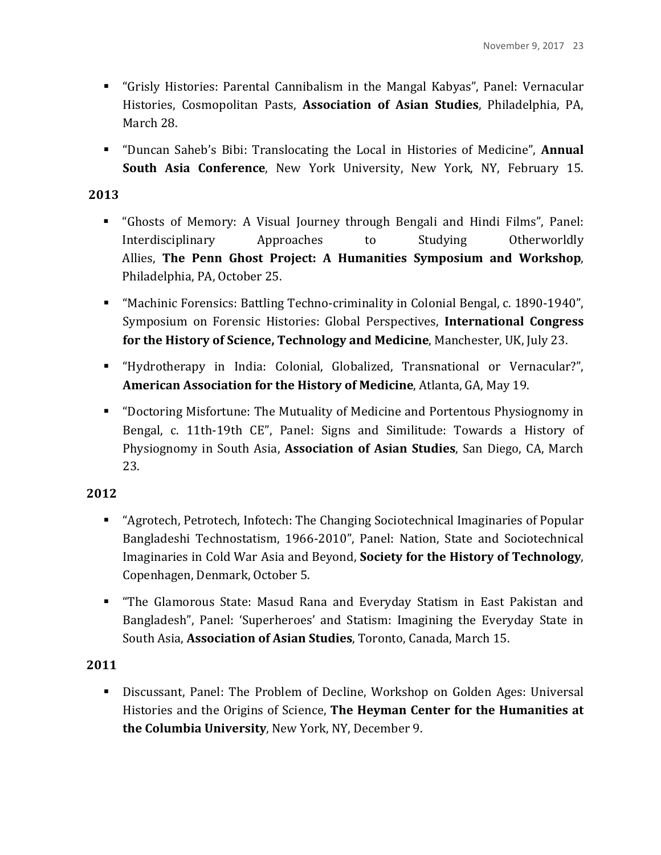- **.** "Grisly Histories: Parental Cannibalism in the Mangal Kabyas", Panel: Vernacular Histories, Cosmopolitan Pasts, **Association of Asian Studies**, Philadelphia, PA, March 28.
- **.** "Duncan Saheb's Bibi: Translocating the Local in Histories of Medicine", **Annual South Asia Conference**, New York University, New York, NY, February 15.

- **.** "Ghosts of Memory: A Visual Journey through Bengali and Hindi Films", Panel: Interdisciplinary Approaches to Studying Otherworldly Allies, The Penn Ghost Project: A Humanities Symposium and Workshop, Philadelphia, PA, October 25.
- **EXECUTE:** "Machinic Forensics: Battling Techno-criminality in Colonial Bengal, c. 1890-1940", Symposium on Forensic Histories: Global Perspectives, International Congress **for the History of Science, Technology and Medicine**, Manchester, UK, July 23.
- ! "Hydrotherapy in India: Colonial, Globalized, Transnational or Vernacular?", **American Association for the History of Medicine, Atlanta, GA, May 19.**
- **.** "Doctoring Misfortune: The Mutuality of Medicine and Portentous Physiognomy in Bengal, c. 11th-19th CE", Panel: Signs and Similitude: Towards a History of Physiognomy in South Asia, **Association of Asian Studies**, San Diego, CA, March 23.

## **2012**

- "Agrotech, Petrotech, Infotech: The Changing Sociotechnical Imaginaries of Popular Bangladeshi Technostatism, 1966-2010", Panel: Nation, State and Sociotechnical Imaginaries in Cold War Asia and Beyond, **Society for the History of Technology**, Copenhagen, Denmark, October 5.
- **.** "The Glamorous State: Masud Rana and Everyday Statism in East Pakistan and Bangladesh", Panel: 'Superheroes' and Statism: Imagining the Everyday State in South Asia, **Association of Asian Studies**, Toronto, Canada, March 15.

## **2011**

**.** Discussant, Panel: The Problem of Decline, Workshop on Golden Ages: Universal Histories and the Origins of Science, **The Heyman Center for the Humanities at the Columbia University**, New York, NY, December 9.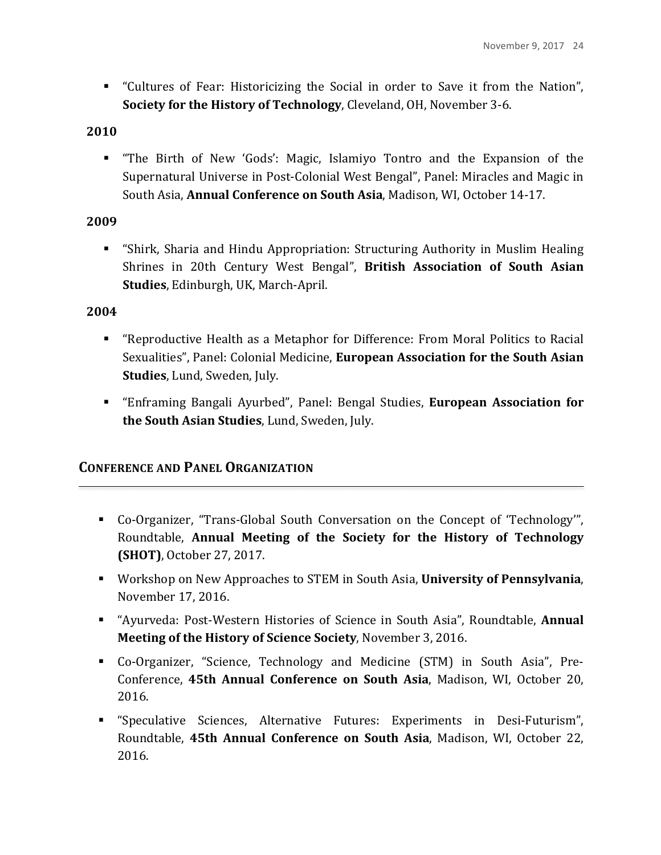■ "Cultures of Fear: Historicizing the Social in order to Save it from the Nation", **Society for the History of Technology**, Cleveland, OH, November 3-6.

#### **2010**

**.** "The Birth of New 'Gods': Magic, Islamiyo Tontro and the Expansion of the Supernatural Universe in Post-Colonial West Bengal", Panel: Miracles and Magic in South Asia, **Annual Conference on South Asia**, Madison, WI, October 14-17.

### **2009**

**EXECT:** "Shirk, Sharia and Hindu Appropriation: Structuring Authority in Muslim Healing Shrines in 20th Century West Bengal", British Association of South Asian **Studies**, Edinburgh, UK, March-April.

#### **2004**

- **.** "Reproductive Health as a Metaphor for Difference: From Moral Politics to Racial Sexualities", Panel: Colonial Medicine, **European Association for the South Asian Studies**, Lund, Sweden, July.
- **Examble 1** "Enframing Bangali Ayurbed", Panel: Bengal Studies, **European Association for the South Asian Studies**, Lund, Sweden, July.

### **CONFERENCE AND PANEL ORGANIZATION**

- Co-Organizer, "Trans-Global South Conversation on the Concept of 'Technology'", Roundtable, **Annual Meeting of the Society for the History of Technology (SHOT)**, October 27, 2017.
- **EXECTEM** In South Asia, University of Pennsylvania, November 17, 2016.
- **E** "Ayurveda: Post-Western Histories of Science in South Asia", Roundtable, Annual **Meeting of the History of Science Society**, November 3, 2016.
- **•** Co-Organizer, "Science, Technology and Medicine (STM) in South Asia", Pre-Conference, **45th Annual Conference on South Asia**, Madison, WI, October 20, 2016.
- "Speculative Sciences, Alternative Futures: Experiments in Desi-Futurism", Roundtable, **45th Annual Conference on South Asia**, Madison, WI, October 22, 2016.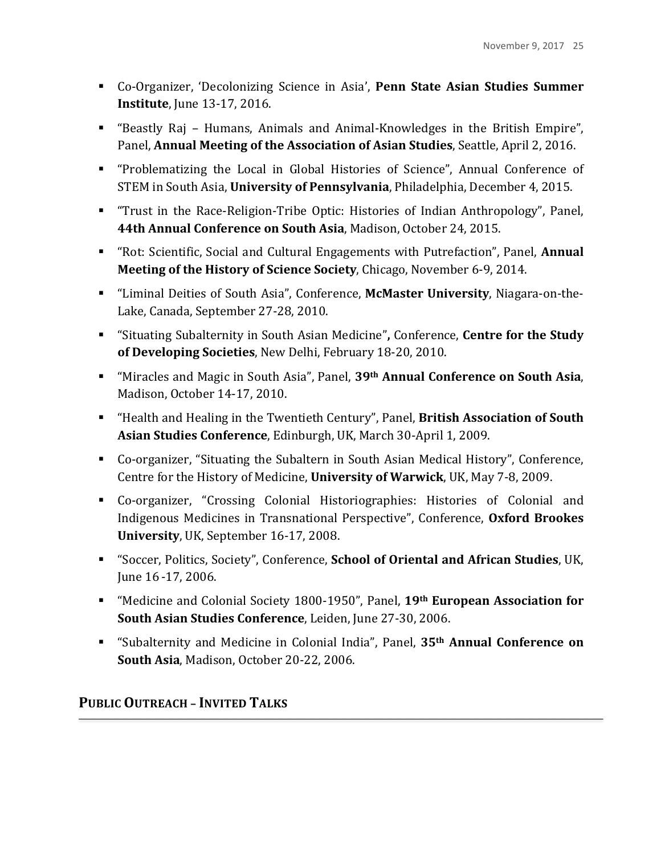- **EXECT:** Co-Organizer, 'Decolonizing Science in Asia', **Penn State Asian Studies Summer Institute**, June 13-17, 2016.
- "Beastly Raj Humans, Animals and Animal-Knowledges in the British Empire", Panel, **Annual Meeting of the Association of Asian Studies**, Seattle, April 2, 2016.
- **.** "Problematizing the Local in Global Histories of Science", Annual Conference of STEM in South Asia, **University of Pennsylvania**, Philadelphia, December 4, 2015.
- **.** "Trust in the Race-Religion-Tribe Optic: Histories of Indian Anthropology", Panel, **44th Annual Conference on South Asia, Madison, October 24, 2015.**
- **.** "Rot: Scientific, Social and Cultural Engagements with Putrefaction", Panel, **Annual Meeting of the History of Science Society**, Chicago, November 6-9, 2014.
- ! "Liminal Deities of South Asia", Conference, **McMaster University**, Niagara-on-the-Lake, Canada, September 27-28, 2010.
- **EXECT:** "Situating Subalternity in South Asian Medicine", Conference, **Centre for the Study of Developing Societies**, New Delhi, February 18-20, 2010.
- **E** "Miracles and Magic in South Asia", Panel, 39<sup>th</sup> Annual Conference on South Asia, Madison, October 14-17, 2010.
- **EXECT:** "Health and Healing in the Twentieth Century", Panel, **British Association of South** Asian Studies Conference, Edinburgh, UK, March 30-April 1, 2009.
- Co-organizer, "Situating the Subaltern in South Asian Medical History", Conference, Centre for the History of Medicine, **University of Warwick**, UK, May 7-8, 2009.
- **EXECT:** Co-organizer, "Crossing Colonial Historiographies: Histories of Colonial and Indigenous Medicines in Transnational Perspective", Conference, Oxford Brookes **University**, UK, September 16-17, 2008.
- **EXECT** "Soccer, Politics, Society", Conference, **School of Oriental and African Studies**, UK, June 16-17, 2006.
- **EXECTE:** "Medicine and Colonial Society 1800-1950", Panel, 19th **European Association for South Asian Studies Conference**, Leiden, June 27-30, 2006.
- **EXECUTE:** "Subalternity and Medicine in Colonial India", Panel, 35<sup>th</sup> Annual Conference on **South Asia**, Madison, October 20-22, 2006.

# **PUBLIC OUTREACH – INVITED TALKS**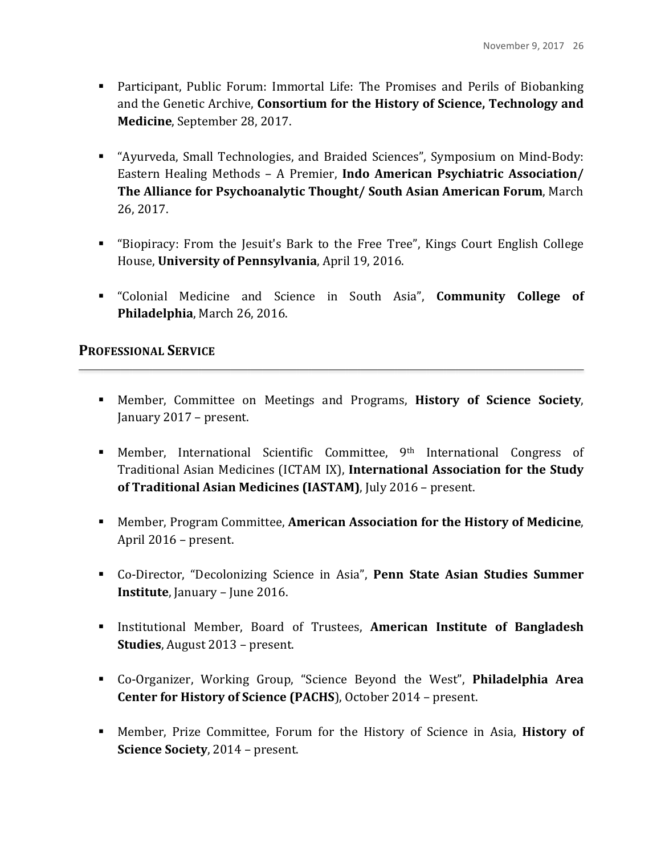- **.** Participant, Public Forum: Immortal Life: The Promises and Perils of Biobanking and the Genetic Archive, **Consortium for the History of Science, Technology and Medicine**, September 28, 2017.
- "Ayurveda, Small Technologies, and Braided Sciences", Symposium on Mind-Body: Eastern Healing Methods - A Premier, **Indo American Psychiatric Association/ The Alliance for Psychoanalytic Thought/ South Asian American Forum, March** 26, 2017.
- "Biopiracy: From the Jesuit's Bark to the Free Tree", Kings Court English College House, University of Pennsylvania, April 19, 2016.
- **EXECOLONIAL Medicine and Science in South Asia", Community College of Philadelphia**, March 26, 2016.

## **PROFESSIONAL SERVICE**

- **EXECUTE:** Member, Committee on Meetings and Programs, History of Science Society, January 2017 – present.
- **EXECUTE:** Member, International Scientific Committee, 9<sup>th</sup> International Congress of Traditional Asian Medicines (ICTAM IX), **International Association for the Study of Traditional Asian Medicines (IASTAM)**, July 2016 - present.
- **EXECUTE:** Member, Program Committee, American Association for the History of Medicine, April 2016 – present.
- **EXECT:** Co-Director, "Decolonizing Science in Asia", Penn State Asian Studies Summer **Institute**, January – June 2016.
- **Example 1** Institutional Member, Board of Trustees, American Institute of Bangladesh **Studies**, August 2013 – present.
- **E.** Co-Organizer, Working Group, "Science Beyond the West", **Philadelphia Area Center for History of Science (PACHS), October 2014 – present.**
- **EXECT:** Member, Prize Committee, Forum for the History of Science in Asia, History of **Science Society**, 2014 – present.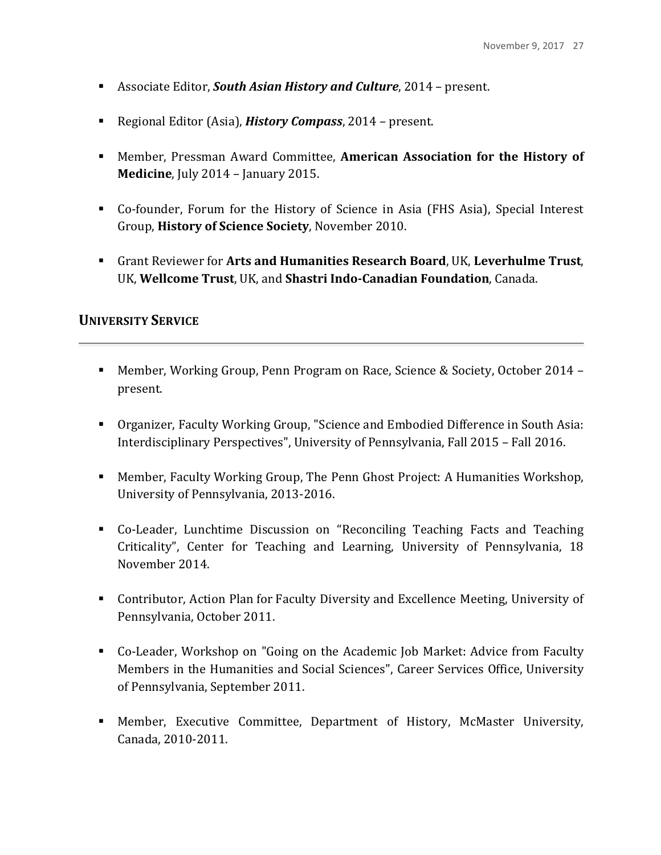- **Example 2014** Associate Editor, *South Asian History and Culture*, 2014 present.
- Regional Editor (Asia), *History Compass*, 2014 present.
- **EXECT:** Member, Pressman Award Committee, **American Association for the History of Medicine**, July 2014 - January 2015.
- Co-founder, Forum for the History of Science in Asia (FHS Asia), Special Interest Group, **History of Science Society**, November 2010.
- **Example 1** Grant Reviewer for Arts and Humanities Research Board, UK, Leverhulme Trust, UK, Wellcome Trust, UK, and Shastri Indo-Canadian Foundation, Canada.

## **UNIVERSITY SERVICE**

- Member, Working Group, Penn Program on Race, Science & Society, October 2014 present.
- **.** Organizer, Faculty Working Group, "Science and Embodied Difference in South Asia: Interdisciplinary Perspectives", University of Pennsylvania, Fall 2015 - Fall 2016.
- **EXECUTE:** Member, Faculty Working Group, The Penn Ghost Project: A Humanities Workshop, University of Pennsylvania, 2013-2016.
- Co-Leader, Lunchtime Discussion on "Reconciling Teaching Facts and Teaching Criticality", Center for Teaching and Learning, University of Pennsylvania, 18 November 2014.
- **EXECUTE:** Contributor, Action Plan for Faculty Diversity and Excellence Meeting, University of Pennsylvania, October 2011.
- **•** Co-Leader, Workshop on "Going on the Academic Job Market: Advice from Faculty Members in the Humanities and Social Sciences", Career Services Office, University of Pennsylvania, September 2011.
- **EXECUTE:** Member, Executive Committee, Department of History, McMaster University, Canada, 2010-2011.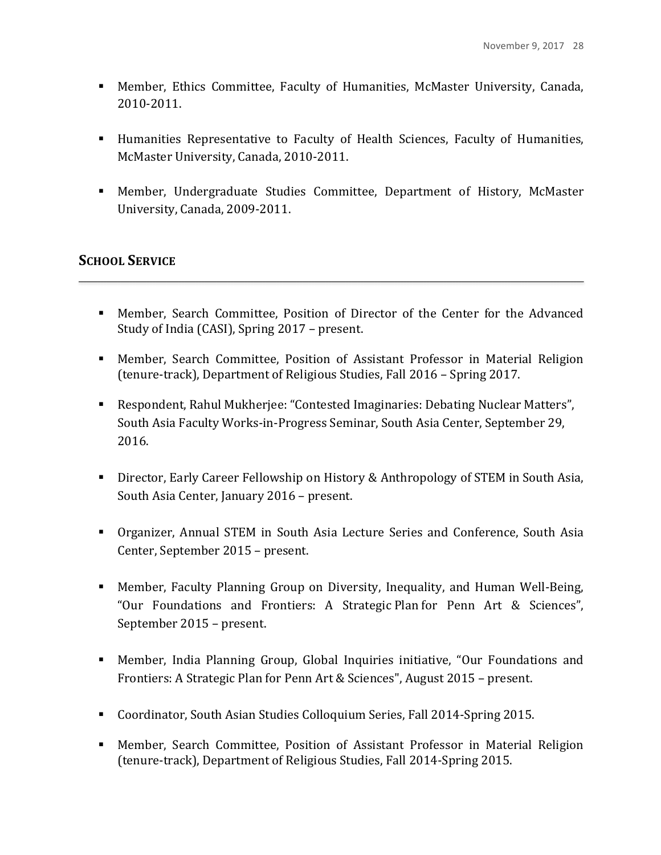- **.** Member, Ethics Committee, Faculty of Humanities, McMaster University, Canada, 2010-2011.
- Humanities Representative to Faculty of Health Sciences, Faculty of Humanities, McMaster University, Canada, 2010-2011.
- **.** Member, Undergraduate Studies Committee, Department of History, McMaster University, Canada, 2009-2011.

# **SCHOOL SERVICE**

- Member, Search Committee, Position of Director of the Center for the Advanced Study of India (CASI), Spring 2017 - present.
- **EXECT:** Member, Search Committee, Position of Assistant Professor in Material Religion (tenure-track), Department of Religious Studies, Fall 2016 – Spring 2017.
- **E.** Respondent, Rahul Mukherjee: "Contested Imaginaries: Debating Nuclear Matters", South Asia Faculty Works-in-Progress Seminar, South Asia Center, September 29, 2016.
- **EXECT:** Director, Early Career Fellowship on History & Anthropology of STEM in South Asia, South Asia Center, January 2016 - present.
- **.** Organizer, Annual STEM in South Asia Lecture Series and Conference, South Asia Center, September 2015 – present.
- **EXEDENT:** Member, Faculty Planning Group on Diversity, Inequality, and Human Well-Being, "Our Foundations and Frontiers: A Strategic Plan for Penn Art & Sciences", September 2015 – present.
- **E.** Member, India Planning Group, Global Inquiries initiative, "Our Foundations and Frontiers: A Strategic Plan for Penn Art & Sciences", August 2015 – present.
- Coordinator, South Asian Studies Colloquium Series, Fall 2014-Spring 2015.
- **.** Member, Search Committee, Position of Assistant Professor in Material Religion (tenure-track), Department of Religious Studies, Fall 2014-Spring 2015.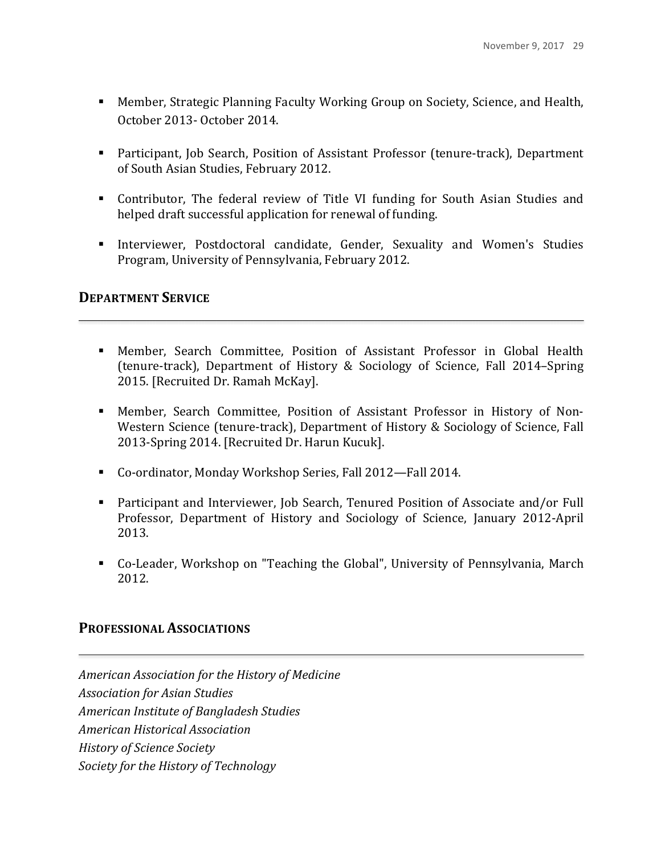- **EXECUTE:** Member, Strategic Planning Faculty Working Group on Society, Science, and Health, October 2013- October 2014.
- **EXECT** Participant, Job Search, Position of Assistant Professor (tenure-track), Department of South Asian Studies, February 2012.
- Contributor, The federal review of Title VI funding for South Asian Studies and helped draft successful application for renewal of funding.
- **Interviewer, Postdoctoral candidate, Gender, Sexuality and Women's Studies** Program, University of Pennsylvania, February 2012.

### **DEPARTMENT SERVICE**

- **.** Member, Search Committee, Position of Assistant Professor in Global Health (tenure-track), Department of History & Sociology of Science, Fall 2014–Spring 2015. [Recruited Dr. Ramah McKay].
- **.** Member, Search Committee, Position of Assistant Professor in History of Non-Western Science (tenure-track), Department of History & Sociology of Science, Fall 2013-Spring 2014. [Recruited Dr. Harun Kucuk].
- Co-ordinator, Monday Workshop Series, Fall 2012—Fall 2014.
- **EXECT** Participant and Interviewer, Job Search, Tenured Position of Associate and/or Full Professor, Department of History and Sociology of Science, January 2012-April 2013.
- Co-Leader, Workshop on "Teaching the Global", University of Pennsylvania, March 2012.

## **PROFESSIONAL ASSOCIATIONS**

*American Association for the History of Medicine Association for Asian Studies American Institute of Bangladesh Studies American Historical Association History of Science Society Society for the History of Technology*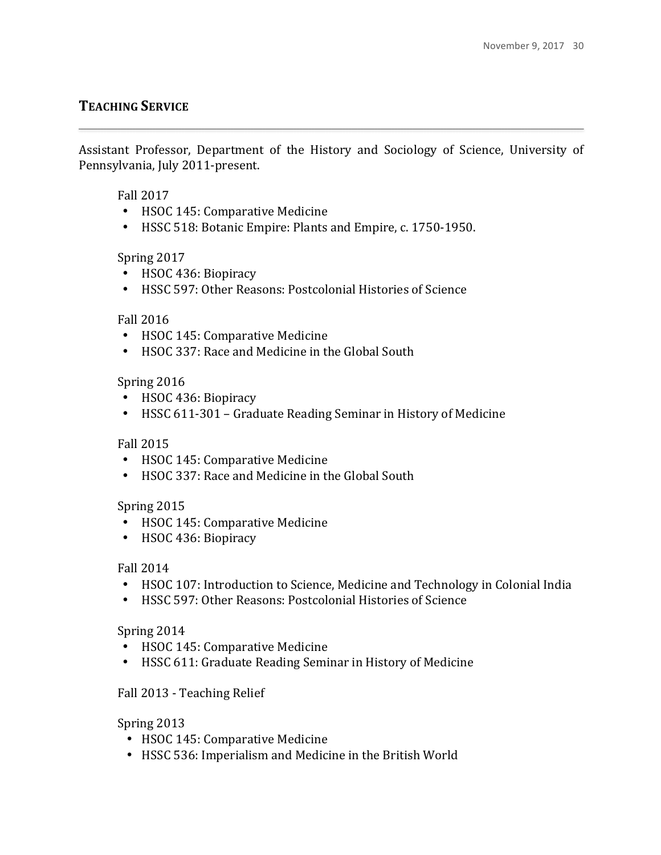# **TEACHING SERVICE**

Assistant Professor, Department of the History and Sociology of Science, University of Pennsylvania, July 2011-present.

### Fall 2017

- HSOC 145: Comparative Medicine
- HSSC 518: Botanic Empire: Plants and Empire, c. 1750-1950.

### Spring 2017

- HSOC 436: Biopiracy
- HSSC 597: Other Reasons: Postcolonial Histories of Science

### Fall 2016

- HSOC 145: Comparative Medicine
- HSOC 337: Race and Medicine in the Global South

### Spring 2016

- HSOC 436: Biopiracy
- HSSC 611-301 Graduate Reading Seminar in History of Medicine

### Fall 2015

- HSOC 145: Comparative Medicine
- HSOC 337: Race and Medicine in the Global South

## Spring 2015

- HSOC 145: Comparative Medicine
- HSOC 436: Biopiracy

### Fall 2014

- HSOC 107: Introduction to Science, Medicine and Technology in Colonial India
- HSSC 597: Other Reasons: Postcolonial Histories of Science

### Spring 2014

- HSOC 145: Comparative Medicine
- HSSC 611: Graduate Reading Seminar in History of Medicine

### Fall 2013 - Teaching Relief

### Spring 2013

- HSOC 145: Comparative Medicine
- HSSC 536: Imperialism and Medicine in the British World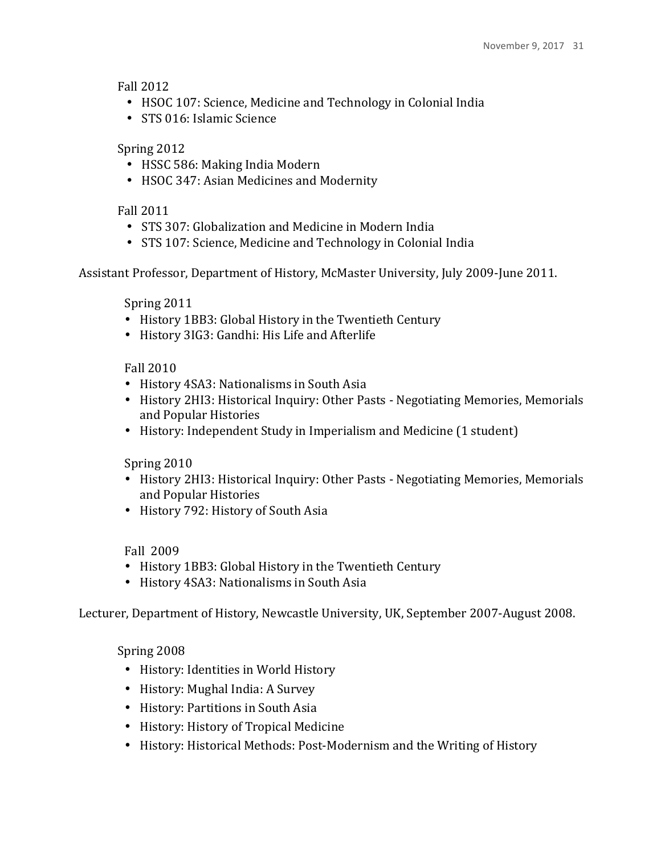Fall 2012

- HSOC 107: Science, Medicine and Technology in Colonial India
- STS 016: Islamic Science

## Spring 2012

- HSSC 586: Making India Modern
- HSOC 347: Asian Medicines and Modernity

### Fall 2011

- STS 307: Globalization and Medicine in Modern India
- STS 107: Science, Medicine and Technology in Colonial India

Assistant Professor, Department of History, McMaster University, July 2009-June 2011.

Spring 2011

- History 1BB3: Global History in the Twentieth Century
- History 3IG3: Gandhi: His Life and Afterlife

### Fall 2010

- History 4SA3: Nationalisms in South Asia
- History 2HI3: Historical Inquiry: Other Pasts Negotiating Memories, Memorials and Popular Histories
- History: Independent Study in Imperialism and Medicine (1 student)

Spring 2010

- History 2HI3: Historical Inquiry: Other Pasts Negotiating Memories, Memorials and Popular Histories
- History 792: History of South Asia

### Fall 2009

- History 1BB3: Global History in the Twentieth Century
- History 4SA3: Nationalisms in South Asia

Lecturer, Department of History, Newcastle University, UK, September 2007-August 2008.

Spring 2008

- History: Identities in World History
- History: Mughal India: A Survey
- History: Partitions in South Asia
- History: History of Tropical Medicine
- History: Historical Methods: Post-Modernism and the Writing of History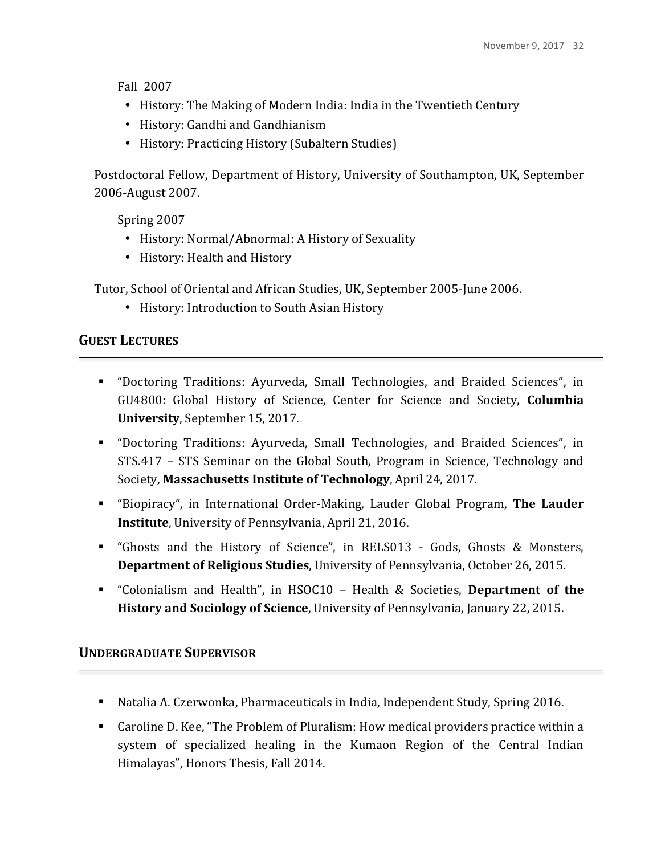Fall 2007

- History: The Making of Modern India: India in the Twentieth Century
- History: Gandhi and Gandhianism
- History: Practicing History (Subaltern Studies)

Postdoctoral Fellow, Department of History, University of Southampton, UK, September 2006-August 2007.

Spring 2007

- History: Normal/Abnormal: A History of Sexuality
- History: Health and History

Tutor, School of Oriental and African Studies, UK, September 2005-June 2006.

• History: Introduction to South Asian History

# **GUEST LECTURES**

- "Doctoring Traditions: Ayurveda, Small Technologies, and Braided Sciences", in GU4800: Global History of Science, Center for Science and Society, **Columbia University**, September 15, 2017.
- "Doctoring Traditions: Ayurveda, Small Technologies, and Braided Sciences", in STS.417 - STS Seminar on the Global South, Program in Science, Technology and Society, Massachusetts Institute of Technology, April 24, 2017.
- **E** "Biopiracy", in International Order-Making, Lauder Global Program, The Lauder **Institute**, University of Pennsylvania, April 21, 2016.
- "Ghosts and the History of Science", in RELS013 Gods, Ghosts & Monsters, **Department of Religious Studies**, University of Pennsylvania, October 26, 2015.
- **EXECTE:** "Colonialism and Health", in HSOC10 Health & Societies, Department of the **History and Sociology of Science**, University of Pennsylvania, January 22, 2015.

# **UNDERGRADUATE SUPERVISOR**

- Natalia A. Czerwonka, Pharmaceuticals in India, Independent Study, Spring 2016.
- Caroline D. Kee, "The Problem of Pluralism: How medical providers practice within a system of specialized healing in the Kumaon Region of the Central Indian Himalayas", Honors Thesis, Fall 2014.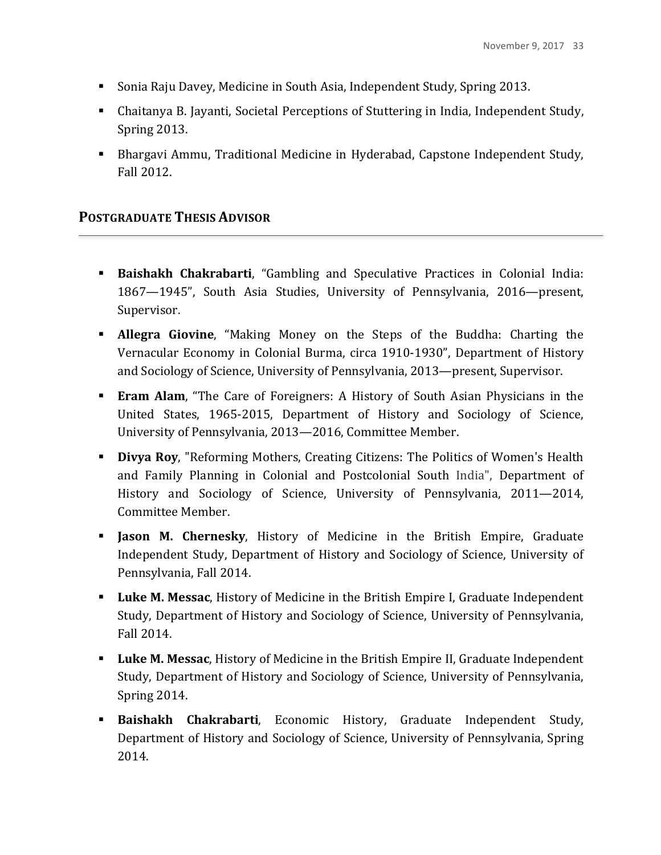- Sonia Raju Davey, Medicine in South Asia, Independent Study, Spring 2013.
- Chaitanya B. Jayanti, Societal Perceptions of Stuttering in India, Independent Study, Spring 2013.
- **Example 20** Bhargavi Ammu, Traditional Medicine in Hyderabad, Capstone Independent Study, Fall 2012.

## **POSTGRADUATE THESIS ADVISOR**

- **Eaishakh Chakrabarti**, "Gambling and Speculative Practices in Colonial India: 1867—1945", South Asia Studies, University of Pennsylvania, 2016—present, Supervisor.
- **EXTE:** Allegra Giovine, "Making Money on the Steps of the Buddha: Charting the Vernacular Economy in Colonial Burma, circa 1910-1930", Department of History and Sociology of Science, University of Pennsylvania, 2013—present, Supervisor.
- **Eram Alam**, "The Care of Foreigners: A History of South Asian Physicians in the United States, 1965-2015, Department of History and Sociology of Science, University of Pennsylvania, 2013-2016, Committee Member.
- **Divya Roy**, "Reforming Mothers, Creating Citizens: The Politics of Women's Health and Family Planning in Colonial and Postcolonial South India", Department of History and Sociology of Science, University of Pennsylvania, 2011—2014, Committee Member.
- **Iason M. Chernesky**, History of Medicine in the British Empire, Graduate Independent Study, Department of History and Sociology of Science, University of Pennsylvania, Fall 2014.
- **Luke M. Messac**, History of Medicine in the British Empire I, Graduate Independent Study, Department of History and Sociology of Science, University of Pennsylvania, Fall 2014.
- **Luke M. Messac**, History of Medicine in the British Empire II, Graduate Independent Study, Department of History and Sociology of Science, University of Pennsylvania, Spring 2014.
- **Exaishakh Chakrabarti**, Economic History, Graduate Independent Study, Department of History and Sociology of Science, University of Pennsylvania, Spring 2014.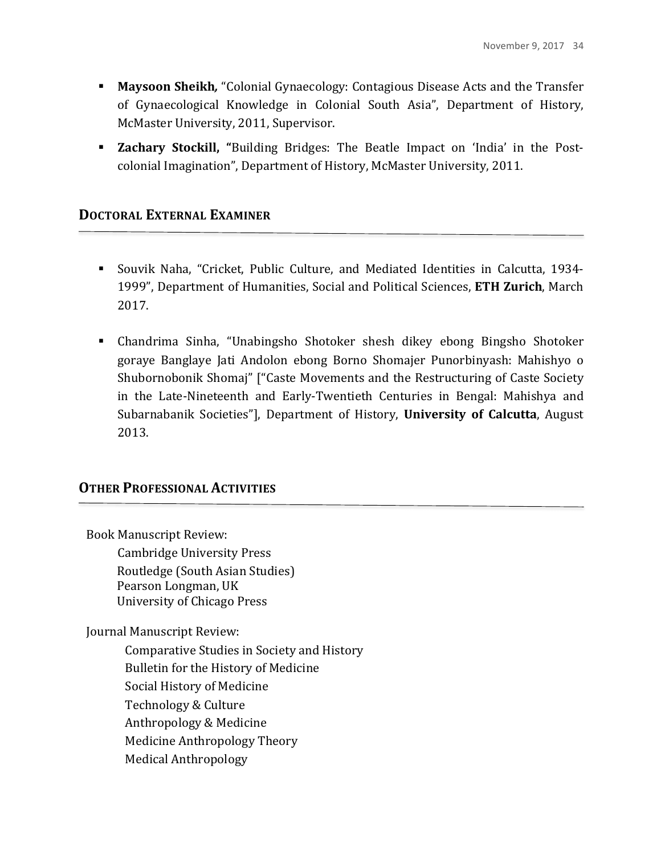- **Maysoon Sheikh**, "Colonial Gynaecology: Contagious Disease Acts and the Transfer of Gynaecological Knowledge in Colonial South Asia", Department of History, McMaster University, 2011, Supervisor.
- **Exachary Stockill,** "Building Bridges: The Beatle Impact on 'India' in the Postcolonial Imagination", Department of History, McMaster University, 2011.

### **DOCTORAL EXTERNAL EXAMINER**

- Souvik Naha, "Cricket, Public Culture, and Mediated Identities in Calcutta, 1934-1999", Department of Humanities, Social and Political Sciences, ETH Zurich, March 2017.
- ! Chandrima Sinha, "Unabingsho Shotoker shesh dikey ebong Bingsho Shotoker goraye Banglaye Jati Andolon ebong Borno Shomajer Punorbinyash: Mahishyo o Shubornobonik Shomaj" ["Caste Movements and the Restructuring of Caste Society in the Late-Nineteenth and Early-Twentieth Centuries in Bengal: Mahishya and Subarnabanik Societies"], Department of History, **University of Calcutta**, August 2013.

### **OTHER PROFESSIONAL ACTIVITIES**

Book Manuscript Review: Cambridge University Press Routledge (South Asian Studies) Pearson Longman, UK University of Chicago Press Journal Manuscript Review: Comparative Studies in Society and History Bulletin for the History of Medicine Social History of Medicine Technology & Culture

- Anthropology & Medicine
- 
- Medicine Anthropology Theory
- Medical Anthropology